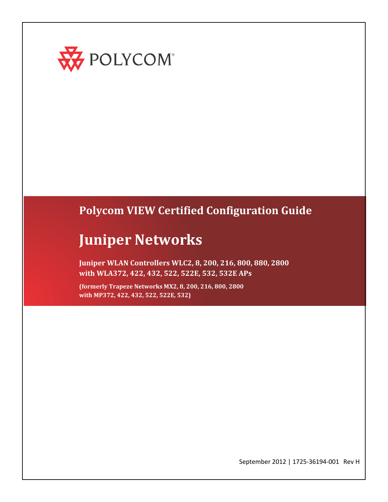

# **Polycom VIEW Certified Configuration Guide**

# **Juniper Networks**

**Juniper WLAN Controllers WLC2, 8, 200, 216, 800, 880, 2800 with WLA372, 422, 432, 522, 522E, 532, 532E APs**

**(formerly Trapeze Networks MX2, 8, 200, 216, 800, 2800 with MP372, 422, 432, 522, 522E, 532)**

September 2012 | 1725-36194-001 Rev H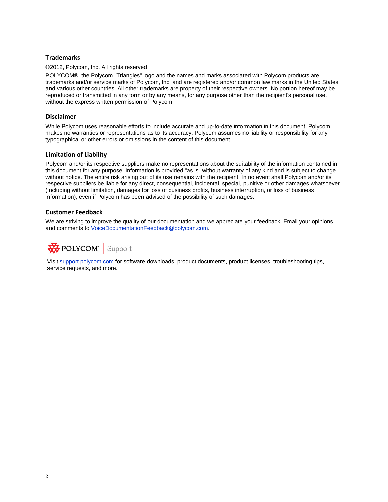# **Trademarks**

©2012, Polycom, Inc. All rights reserved.

POLYCOM®, the Polycom "Triangles" logo and the names and marks associated with Polycom products are trademarks and/or service marks of Polycom, Inc. and are registered and/or common law marks in the United States and various other countries. All other trademarks are property of their respective owners. No portion hereof may be reproduced or transmitted in any form or by any means, for any purpose other than the recipient's personal use, without the express written permission of Polycom.

### **Disclaimer**

While Polycom uses reasonable efforts to include accurate and up-to-date information in this document, Polycom makes no warranties or representations as to its accuracy. Polycom assumes no liability or responsibility for any typographical or other errors or omissions in the content of this document.

### **Limitation of Liability**

Polycom and/or its respective suppliers make no representations about the suitability of the information contained in this document for any purpose. Information is provided "as is" without warranty of any kind and is subject to change without notice. The entire risk arising out of its use remains with the recipient. In no event shall Polycom and/or its respective suppliers be liable for any direct, consequential, incidental, special, punitive or other damages whatsoever (including without limitation, damages for loss of business profits, business interruption, or loss of business information), even if Polycom has been advised of the possibility of such damages.

### **Customer Feedback**

We are striving to improve the quality of our documentation and we appreciate your feedback. Email your opinions and comments t[o VoiceDocumentationFeedback@polycom.com.](http://support.polycom.com/?subject=Document%20Title)



Visit [support.polycom.com](mailto:voicedocumentationfeedback@polycom.com) for software downloads, product documents, product licenses, troubleshooting tips, service requests, and more.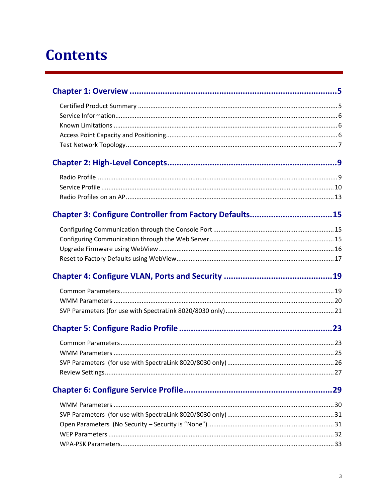# **Contents**

| Chapter 3: Configure Controller from Factory Defaults15 |  |
|---------------------------------------------------------|--|
|                                                         |  |
|                                                         |  |
|                                                         |  |
|                                                         |  |
|                                                         |  |
|                                                         |  |
|                                                         |  |
|                                                         |  |
|                                                         |  |
|                                                         |  |
|                                                         |  |
|                                                         |  |
|                                                         |  |
|                                                         |  |
|                                                         |  |
|                                                         |  |
|                                                         |  |
|                                                         |  |
|                                                         |  |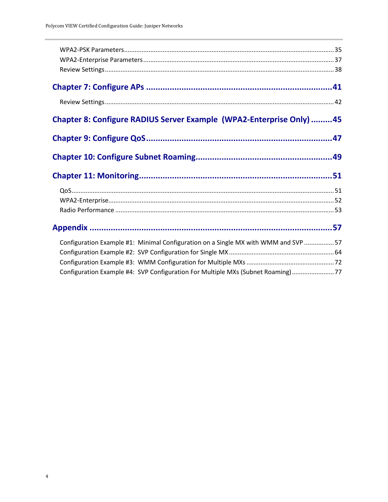| Chapter 8: Configure RADIUS Server Example (WPA2-Enterprise Only) 45               |  |
|------------------------------------------------------------------------------------|--|
|                                                                                    |  |
|                                                                                    |  |
|                                                                                    |  |
|                                                                                    |  |
|                                                                                    |  |
|                                                                                    |  |
|                                                                                    |  |
| Configuration Example #1: Minimal Configuration on a Single MX with WMM and SVP 57 |  |
|                                                                                    |  |
|                                                                                    |  |
| Configuration Example #4: SVP Configuration For Multiple MXs (Subnet Roaming)77    |  |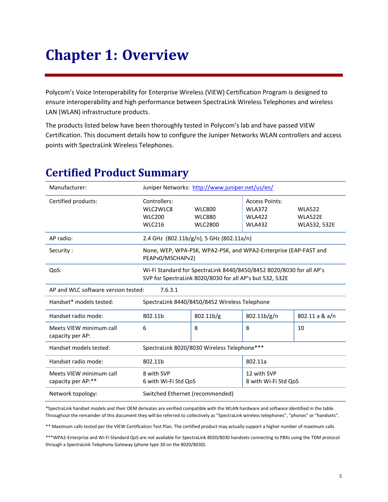# <span id="page-4-0"></span>**Chapter 1: Overview**

Polycom's Voice Interoperability for Enterprise Wireless (VIEW) Certification Program is designed to ensure interoperability and high performance between SpectraLink Wireless Telephones and wireless LAN (WLAN) infrastructure products.

The products listed below have been thoroughly tested in Polycom's lab and have passed VIEW Certification. This document details how to configure the Juniper Networks WLAN controllers and access points with SpectraLink Wireless Telephones.

| Manufacturer:                                  |                                                                           | Juniper Networks: http://www.juniper.net/us/en/                                                                                  |                                                                          |                                                 |
|------------------------------------------------|---------------------------------------------------------------------------|----------------------------------------------------------------------------------------------------------------------------------|--------------------------------------------------------------------------|-------------------------------------------------|
| Certified products:                            | Controllers:<br>WLC2WLC8<br><b>WLC200</b><br><b>WLC216</b>                | <b>WLC800</b><br><b>WLC880</b><br><b>WLC2800</b>                                                                                 | <b>Access Points:</b><br><b>WLA372</b><br><b>WLA422</b><br><b>WLA432</b> | <b>WLA522</b><br>WLA522E<br><b>WLA532, 532E</b> |
| AP radio:                                      |                                                                           | 2.4 GHz $(802.11b/g/n)$ , 5 GHz $(802.11a/n)$                                                                                    |                                                                          |                                                 |
| Security:                                      |                                                                           | None, WEP, WPA-PSK, WPA2-PSK, and WPA2-Enterprise (EAP-FAST and<br>PEAPv0/MSCHAPv2)                                              |                                                                          |                                                 |
| QoS:                                           |                                                                           | Wi-Fi Standard for SpectraLink 8440/8450/8452 8020/8030 for all AP's<br>SVP for SpectraLink 8020/8030 for all AP's but 532, 532E |                                                                          |                                                 |
| AP and WLC software version tested:<br>7.6.3.1 |                                                                           |                                                                                                                                  |                                                                          |                                                 |
| Handset* models tested:                        | SpectraLink 8440/8450/8452 Wireless Telephone                             |                                                                                                                                  |                                                                          |                                                 |
| Handset radio mode:                            | 802.11b/g<br>802.11b/g/n<br>802.11b                                       |                                                                                                                                  | 802.11 a & a/n                                                           |                                                 |
| Meets VIEW minimum call<br>capacity per AP:    | 6                                                                         | 8                                                                                                                                | 8                                                                        | 10                                              |
| Handset models tested:                         | SpectraLink 8020/8030 Wireless Telephone***                               |                                                                                                                                  |                                                                          |                                                 |
| Handset radio mode:                            | 802.11b                                                                   |                                                                                                                                  | 802.11a                                                                  |                                                 |
| Meets VIEW minimum call<br>capacity per AP:**  | 8 with SVP<br>12 with SVP<br>6 with Wi-Fi Std QoS<br>8 with Wi-Fi Std QoS |                                                                                                                                  |                                                                          |                                                 |
| Network topology:                              | Switched Ethernet (recommended)                                           |                                                                                                                                  |                                                                          |                                                 |

# <span id="page-4-1"></span>**Certified Product Summary**

\*SpectraLink handset models and their OEM derivates are verified compatible with the WLAN hardware and software identified in the table. Throughout the remainder of this document they will be referred to collectively as "SpectraLink wireless telephones", "phones" or "handsets".

\*\* Maximum calls tested per the VIEW Certification Test Plan. The certified product may actually support a higher number of maximum calls

\*\*\*WPA2-Enterprise and Wi-Fi Standard QoS are not available for SpectraLink 8020/8030 handsets connecting to PBXs using the TDM protocol through a SpectraLink Telephony Gateway (phone type 30 on the 8020/8030).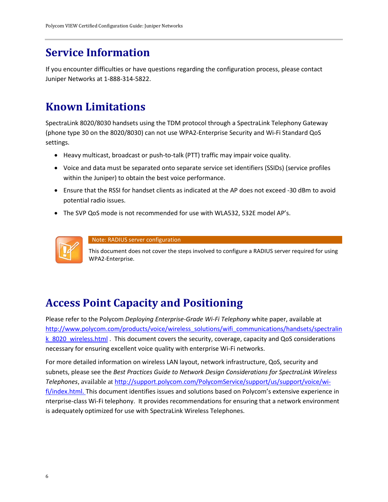# <span id="page-5-0"></span>**Service Information**

If you encounter difficulties or have questions regarding the configuration process, please contact Juniper Networks at 1-888-314-5822.

# <span id="page-5-1"></span>**Known Limitations**

SpectraLink 8020/8030 handsets using the TDM protocol through a SpectraLink Telephony Gateway (phone type 30 on the 8020/8030) can not use WPA2-Enterprise Security and Wi-Fi Standard QoS settings.

- Heavy multicast, broadcast or push-to-talk (PTT) traffic may impair voice quality.
- Voice and data must be separated onto separate service set identifiers (SSIDs) (service profiles within the Juniper) to obtain the best voice performance.
- Ensure that the RSSI for handset clients as indicated at the AP does not exceed -30 dBm to avoid potential radio issues.
- The SVP QoS mode is not recommended for use with WLA532, 532E model AP's.



Note: RADIUS server configuration

This document does not cover the steps involved to configure a RADIUS server required for using WPA2-Enterprise.

# <span id="page-5-2"></span>**Access Point Capacity and Positioning**

Please refer to the Polycom *Deploying Enterprise-Grade Wi-Fi Telephony* white paper, available at [http://www.polycom.com/products/voice/wireless\\_solutions/wifi\\_communications/handsets/spectralin](http://www.juniper.net/us/en/) k 8020 wireless.html . This document covers the security, coverage, capacity and QoS considerations necessary for ensuring excellent voice quality with enterprise Wi-Fi networks.

For more detailed information on wireless LAN layout, network infrastructure, QoS, security and subnets, please see the *Best Practices Guide to Network Design Considerations for SpectraLink Wireless Telephones*, available at http://support.polycom.com/PolycomService/support/us/support/voice/wifi/index.html. This document identifies issues and solutions based on Polycom's extensive experience in nterprise-class Wi-Fi telephony. It provides recommendations for ensuring that a network environment is adequately optimized for use with SpectraLink Wireless Telephones.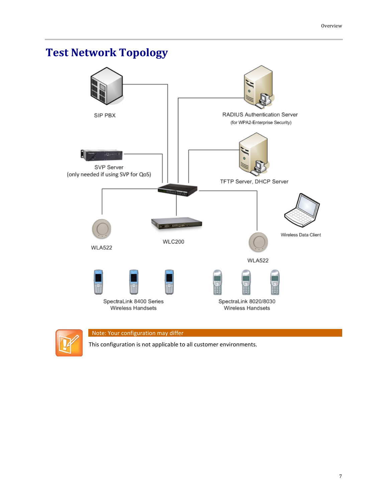# <span id="page-6-0"></span>**Test Network Topology**





# Note: Your configuration may differ

This configuration is not applicable to all customer environments.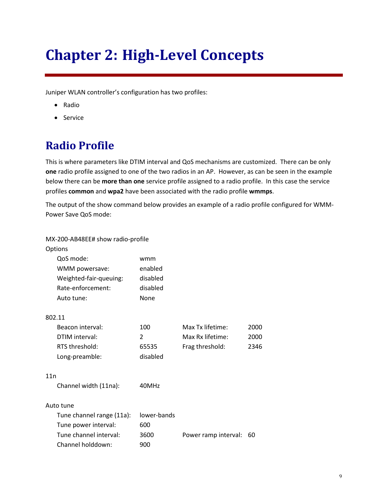# <span id="page-8-0"></span>**Chapter 2: High-Level Concepts**

Juniper WLAN controller's configuration has two profiles:

- Radio
- <span id="page-8-1"></span>• Service

# **Radio Profile**

This is where parameters like DTIM interval and QoS mechanisms are customized. There can be only **one** radio profile assigned to one of the two radios in an AP. However, as can be seen in the example below there can be **more than one** service profile assigned to a radio profile. In this case the service profiles **common** and **wpa2** have been associated with the radio profile **wmmps**.

The output of the show command below provides an example of a radio profile configured for WMM-Power Save QoS mode:

| MX-200-AB48EE# show radio-profile |             |                      |      |
|-----------------------------------|-------------|----------------------|------|
| Options                           |             |                      |      |
| QoS mode:                         | wmm         |                      |      |
| WMM powersave:                    | enabled     |                      |      |
| Weighted-fair-queuing:            | disabled    |                      |      |
| Rate-enforcement:                 | disabled    |                      |      |
| Auto tune:                        | None        |                      |      |
| 802.11                            |             |                      |      |
| Beacon interval:                  | 100         | Max Tx lifetime:     | 2000 |
| DTIM interval:                    | 2           | Max Rx lifetime:     | 2000 |
| RTS threshold:                    | 65535       | Frag threshold:      | 2346 |
| Long-preamble:                    | disabled    |                      |      |
| 11n                               |             |                      |      |
| Channel width (11na):             | 40MHz       |                      |      |
| Auto tune                         |             |                      |      |
| Tune channel range (11a):         | lower-bands |                      |      |
| Tune power interval:              | 600         |                      |      |
| Tune channel interval:            | 3600        | Power ramp interval: | 60   |
| Channel holddown:                 | 900         |                      |      |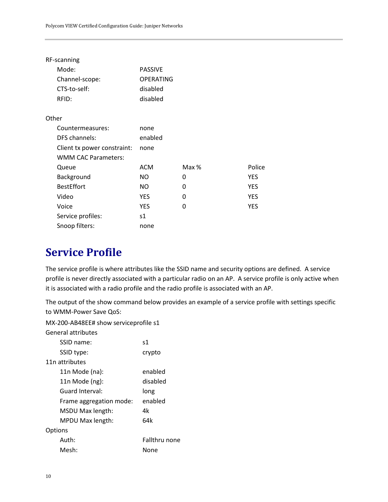| RF-scanning |  |
|-------------|--|
|             |  |

| Mode:                       | <b>PASSIVE</b>   |       |            |
|-----------------------------|------------------|-------|------------|
| Channel-scope:              | <b>OPERATING</b> |       |            |
| CTS-to-self:                | disabled         |       |            |
| RFID:                       | disabled         |       |            |
| Other                       |                  |       |            |
| Countermeasures:            | none             |       |            |
| DFS channels:               | enabled          |       |            |
| Client tx power constraint: | none             |       |            |
| <b>WMM CAC Parameters:</b>  |                  |       |            |
| Queue                       | <b>ACM</b>       | Max % | Police     |
| Background                  | NO.              | 0     | <b>YES</b> |
| <b>BestEffort</b>           | NO.              | 0     | <b>YES</b> |
| Video                       | <b>YES</b>       | 0     | <b>YES</b> |
| Voice                       | <b>YES</b>       | 0     | <b>YES</b> |
| Service profiles:           | s1               |       |            |
| Snoop filters:              | none             |       |            |

# <span id="page-9-0"></span>**Service Profile**

The service profile is where attributes like the SSID name and security options are defined. A service profile is never directly associated with a particular radio on an AP. A service profile is only active when it is associated with a radio profile and the radio profile is associated with an AP.

The output of the show command below provides an example of a service profile with settings specific to WMM-Power Save QoS:

MX-200-AB48EE# show serviceprofile s1

General attributes SSID name: s1

| SSID type:      |                         | crypto        |
|-----------------|-------------------------|---------------|
| 11n attributes  |                         |               |
| 11n Mode (na):  |                         | enabled       |
| 11n Mode (ng):  |                         | disabled      |
| Guard Interval: |                         | long          |
|                 | Frame aggregation mode: | enabled       |
|                 | MSDU Max length:        | 4k            |
|                 | MPDU Max length:        | 64k           |
| Options         |                         |               |
| Auth:           |                         | Fallthru none |
| Mesh:           |                         | None          |
|                 |                         |               |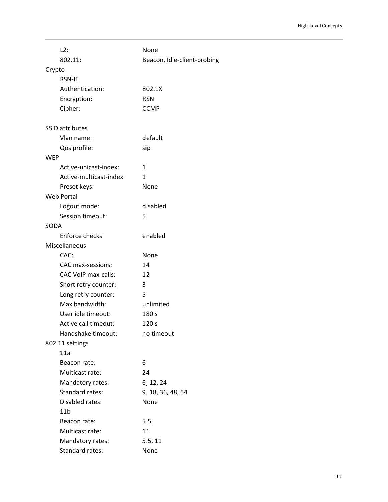| L2:                        | None                        |
|----------------------------|-----------------------------|
| 802.11:                    | Beacon, Idle-client-probing |
| Crypto                     |                             |
| <b>RSN-IE</b>              |                             |
| Authentication:            | 802.1X                      |
| Encryption:                | <b>RSN</b>                  |
| Cipher:                    | <b>CCMP</b>                 |
| <b>SSID attributes</b>     |                             |
| Vlan name:                 | default                     |
| Qos profile:               | sip                         |
| <b>WEP</b>                 |                             |
| Active-unicast-index:      | 1                           |
| Active-multicast-index:    | 1                           |
| Preset keys:               | None                        |
| Web Portal                 |                             |
| Logout mode:               | disabled                    |
| Session timeout:           | 5                           |
| SODA                       |                             |
| Enforce checks:            | enabled                     |
| Miscellaneous              |                             |
| CAC:                       | None                        |
| CAC max-sessions:          | 14                          |
| <b>CAC VoIP max-calls:</b> | 12                          |
| Short retry counter:       | 3                           |
| Long retry counter:        | 5                           |
| Max bandwidth:             | unlimited                   |
| User idle timeout:         | 180 s                       |
| Active call timeout:       | 120 <sub>s</sub>            |
| Handshake timeout:         | no timeout                  |
| 802.11 settings            |                             |
| 11a                        |                             |
| Beacon rate:               | 6                           |
| Multicast rate:            | 24                          |
| Mandatory rates:           | 6, 12, 24                   |
| Standard rates:            | 9, 18, 36, 48, 54           |
| Disabled rates:            | None                        |
| 11 <sub>b</sub>            |                             |
| Beacon rate:               | 5.5                         |
| Multicast rate:            | 11                          |
| Mandatory rates:           | 5.5, 11                     |
| Standard rates:            | None                        |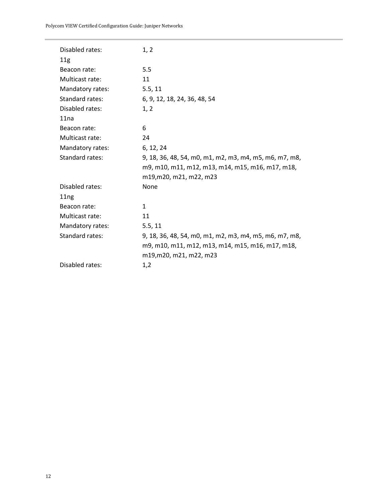Polycom VIEW Certified Configuration Guide: Juniper Networks

| Disabled rates:  | 1, 2                                                   |
|------------------|--------------------------------------------------------|
| 11g              |                                                        |
| Beacon rate:     | 5.5                                                    |
| Multicast rate:  | 11                                                     |
| Mandatory rates: | 5.5, 11                                                |
| Standard rates:  | 6, 9, 12, 18, 24, 36, 48, 54                           |
| Disabled rates:  | 1, 2                                                   |
| 11na             |                                                        |
| Beacon rate:     | 6                                                      |
| Multicast rate:  | 24                                                     |
| Mandatory rates: | 6, 12, 24                                              |
| Standard rates:  | 9, 18, 36, 48, 54, m0, m1, m2, m3, m4, m5, m6, m7, m8, |
|                  | m9, m10, m11, m12, m13, m14, m15, m16, m17, m18,       |
|                  | m19, m20, m21, m22, m23                                |
| Disabled rates:  | None                                                   |
| 11 <sub>ng</sub> |                                                        |
| Beacon rate:     | 1                                                      |
| Multicast rate:  | 11                                                     |
| Mandatory rates: | 5.5, 11                                                |
| Standard rates:  | 9, 18, 36, 48, 54, m0, m1, m2, m3, m4, m5, m6, m7, m8, |
|                  | m9, m10, m11, m12, m13, m14, m15, m16, m17, m18,       |
|                  | m19, m20, m21, m22, m23                                |
| Disabled rates:  | 1,2                                                    |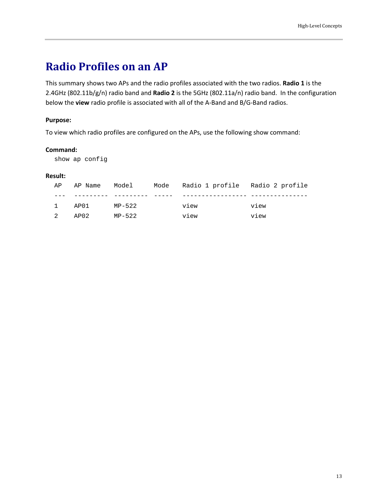# <span id="page-12-0"></span>**Radio Profiles on an AP**

This summary shows two APs and the radio profiles associated with the two radios. **Radio 1** is the 2.4GHz (802.11b/g/n) radio band and **Radio 2** is the 5GHz (802.11a/n) radio band. In the configuration below the **view** radio profile is associated with all of the A-Band and B/G-Band radios.

# **Purpose:**

To view which radio profiles are configured on the APs, use the following show command:

# **Command:**

show ap config

# **Result:**

| AP |        |        | AP Name    Model    Mode    Radio    1   profile    Radio    2   profile |      |
|----|--------|--------|--------------------------------------------------------------------------|------|
|    |        |        |                                                                          |      |
|    | 1 AP01 | MP-522 | view                                                                     | view |
|    | 2 AP02 | MP-522 | view                                                                     | view |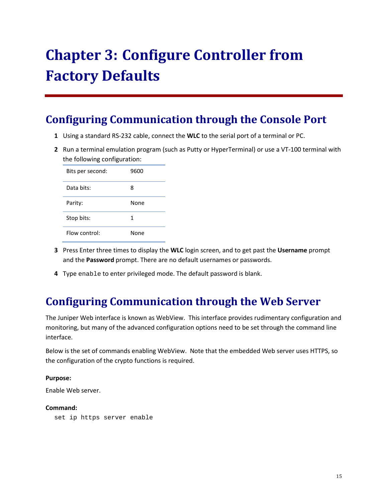# <span id="page-14-0"></span>**Chapter 3: Configure Controller from Factory Defaults**

# <span id="page-14-1"></span>**Configuring Communication through the Console Port**

- **1** Using a standard RS-232 cable, connect the **WLC** to the serial port of a terminal or PC.
- **2** Run a terminal emulation program (such as Putty or HyperTerminal) or use a VT-100 terminal with the following configuration:

| Bits per second: | 9600 |
|------------------|------|
| Data bits:       | 8    |
| Parity:          | None |
| Stop bits:       | 1    |
| Flow control:    | None |

- **3** Press Enter three times to display the **WLC** login screen, and to get past the **Username** prompt and the **Password** prompt. There are no default usernames or passwords.
- <span id="page-14-2"></span>**4** Type enable to enter privileged mode. The default password is blank.

# **Configuring Communication through the Web Server**

The Juniper Web interface is known as WebView. This interface provides rudimentary configuration and monitoring, but many of the advanced configuration options need to be set through the command line interface.

Below is the set of commands enabling WebView. Note that the embedded Web server uses HTTPS, so the configuration of the crypto functions is required.

# **Purpose:**

Enable Web server.

# **Command:**

set ip https server enable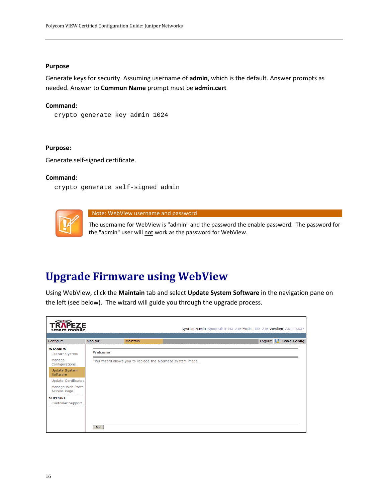#### **Purpose**

Generate keys for security. Assuming username of **admin**, which is the default. Answer prompts as needed. Answer to **Common Name** prompt must be **admin.cert**

#### **Command:**

```
crypto generate key admin 1024
```
### **Purpose:**

Generate self-signed certificate.

### **Command:**

crypto generate self-signed admin



Note: WebView username and password

The username for WebView is "admin" and the password the enable password. The password for the "admin" user will not work as the password for WebView.

# <span id="page-15-0"></span>**Upgrade Firmware using WebView**

Using WebView, click the **Maintain** tab and select **Update System Software** in the navigation pane on the left (see below). The wizard will guide you through the upgrade process.

| $\Longleftrightarrow$<br><b>TRAPEZE</b><br>smart mobile. |         |                                                               | System Name: Spectralink-MX-216 Model: MX-216 Version: 7.0.8.0.037 |
|----------------------------------------------------------|---------|---------------------------------------------------------------|--------------------------------------------------------------------|
| Configure                                                | Monitor | Maintain                                                      | <b>Save Config</b><br>Logout $\left  \cdot \right $                |
| <b>WIZARDS</b><br><b>Restart System</b>                  | Welcome |                                                               |                                                                    |
| Manage<br>Configurations                                 |         | This wizard allows you to replace the alternate system image. |                                                                    |
| <b>Update System</b><br>Software                         |         |                                                               |                                                                    |
| Update Certificates                                      |         |                                                               |                                                                    |
| Manage Web Portal<br>Access Page                         |         |                                                               |                                                                    |
| <b>SUPPORT</b>                                           |         |                                                               |                                                                    |
| Customer Support                                         |         |                                                               |                                                                    |
|                                                          | Start   |                                                               |                                                                    |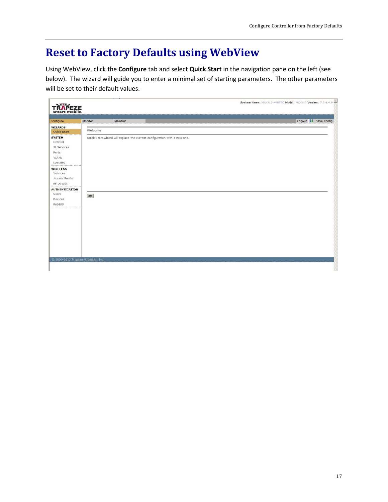# <span id="page-16-0"></span>**Reset to Factory Defaults using WebView**

Using WebView, click the **Configure** tab and select **Quick Start** in the navigation pane on the left (see below). The wizard will guide you to enter a minimal set of starting parameters. The other parameters will be set to their default values.

| <b>TRAPEZE</b><br>smart mobile.                                                                                                                                                 |         |                                                                           | System Name: MX-216-44BFBC Model: MX-216 Version: 7.3.4.4.0 |
|---------------------------------------------------------------------------------------------------------------------------------------------------------------------------------|---------|---------------------------------------------------------------------------|-------------------------------------------------------------|
| Configure                                                                                                                                                                       | Monitor | Maintain                                                                  | Logout & Save Config                                        |
| <b>WIZARDS</b><br>Quick Start                                                                                                                                                   | Welcome |                                                                           |                                                             |
| <b>SYSTEM</b><br>General<br>IP Services<br>Ports<br>VLANs<br>Security<br><b>WIRELESS</b><br>Services<br>Access Points<br>RF Detect<br><b>AUTHENTICATION</b><br>Users<br>Devices | Start   | Quick Start wizard will replace the current configuration with a new one. |                                                             |
| <b>RADIUS</b><br>© 2006-2010 Trapeze Networks, Inc.                                                                                                                             |         |                                                                           |                                                             |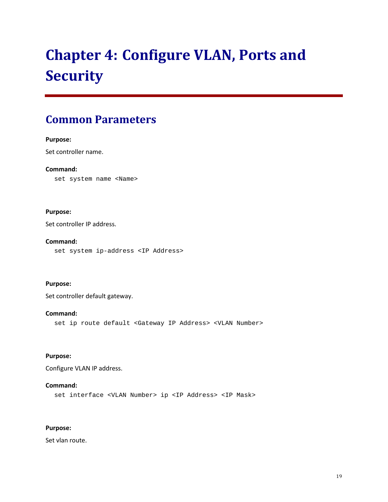# <span id="page-18-0"></span>**Chapter 4: Configure VLAN, Ports and Security**

# <span id="page-18-1"></span>**Common Parameters**

# **Purpose:**

Set controller name.

# **Command:**

set system name <Name>

# **Purpose:**

Set controller IP address.

# **Command:**

set system ip-address <IP Address>

# **Purpose:**

Set controller default gateway.

# **Command:**

set ip route default <Gateway IP Address> <VLAN Number>

# **Purpose:**

Configure VLAN IP address.

# **Command:**

set interface <VLAN Number> ip <IP Address> <IP Mask>

# **Purpose:**

Set vlan route.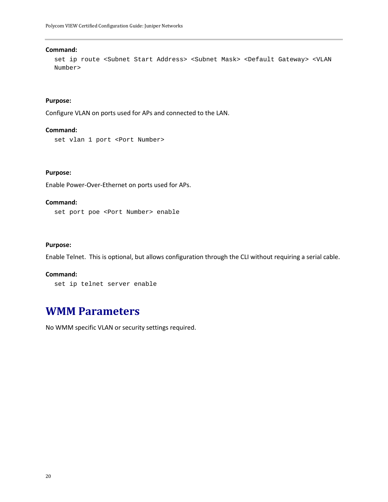#### **Command:**

set ip route <Subnet Start Address> <Subnet Mask> <Default Gateway> <VLAN Number>

### **Purpose:**

Configure VLAN on ports used for APs and connected to the LAN.

## **Command:**

set vlan 1 port <Port Number>

### **Purpose:**

Enable Power-Over-Ethernet on ports used for APs.

### **Command:**

set port poe <Port Number> enable

# **Purpose:**

Enable Telnet. This is optional, but allows configuration through the CLI without requiring a serial cable.

#### **Command:**

```
set ip telnet server enable
```
# **WMM Parameters**

No WMM specific VLAN or security settings required.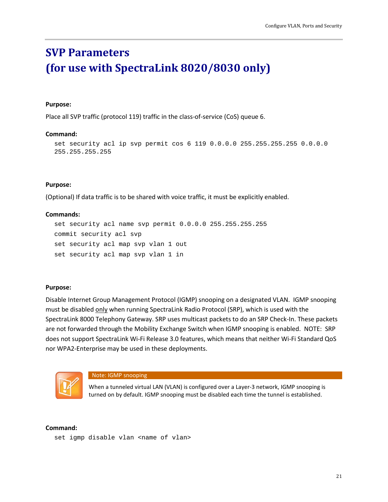# <span id="page-20-0"></span>**SVP Parameters (for use with SpectraLink 8020/8030 only)**

### **Purpose:**

Place all SVP traffic (protocol 119) traffic in the class-of-service (CoS) queue 6.

# **Command:**

set security acl ip svp permit cos 6 119 0.0.0.0 255.255.255.255 0.0.0.0 255.255.255.255

# **Purpose:**

(Optional) If data traffic is to be shared with voice traffic, it must be explicitly enabled.

### **Commands:**

```
set security acl name svp permit 0.0.0.0 255.255.255.255
commit security acl svp
set security acl map svp vlan 1 out
set security acl map svp vlan 1 in
```
# **Purpose:**

Disable Internet Group Management Protocol (IGMP) snooping on a designated VLAN. IGMP snooping must be disabled only when running SpectraLink Radio Protocol (SRP), which is used with the SpectraLink 8000 Telephony Gateway. SRP uses multicast packets to do an SRP Check-In. These packets are not forwarded through the Mobility Exchange Switch when IGMP snooping is enabled. NOTE: SRP does not support SpectraLink Wi-Fi Release 3.0 features, which means that neither Wi-Fi Standard QoS nor WPA2-Enterprise may be used in these deployments.



Note: IGMP snooping

When a tunneled virtual LAN (VLAN) is configured over a Layer-3 network, IGMP snooping is turned on by default. IGMP snooping must be disabled each time the tunnel is established.

### **Command:**

set igmp disable vlan <name of vlan>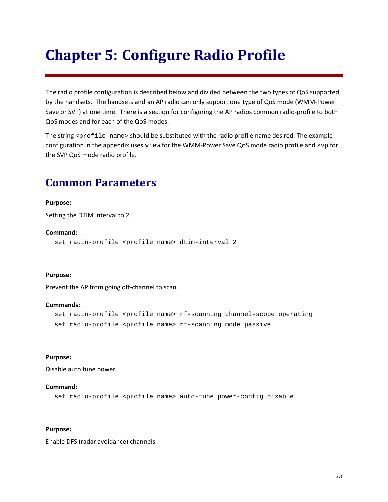# <span id="page-22-0"></span>**Chapter 5: Configure Radio Profile**

The radio profile configuration is described below and divided between the two types of QoS supported by the handsets. The handsets and an AP radio can only support one type of QoS mode (WMM-Power Save or SVP) at one time. There is a section for configuring the AP radios common radio-profile to both QoS modes and for each of the QoS modes.

The string  $\epsilon$  profile name> should be substituted with the radio profile name desired. The example configuration in the appendix uses view for the WMM-Power Save QoS mode radio profile and svp for the SVP QoS mode radio profile.

# <span id="page-22-1"></span>**Common Parameters**

# **Purpose:**

Setting the DTIM interval to 2.

### **Command:**

set radio-profile <profile name> dtim-interval 2

# **Purpose:**

Prevent the AP from going off-channel to scan.

#### **Commands:**

```
set radio-profile <profile name> rf-scanning channel-scope operating
set radio-profile <profile name> rf-scanning mode passive
```
# **Purpose:**

Disable auto tune power.

### **Command:**

set radio-profile <profile name> auto-tune power-config disable

# **Purpose:**

Enable DFS (radar avoidance) channels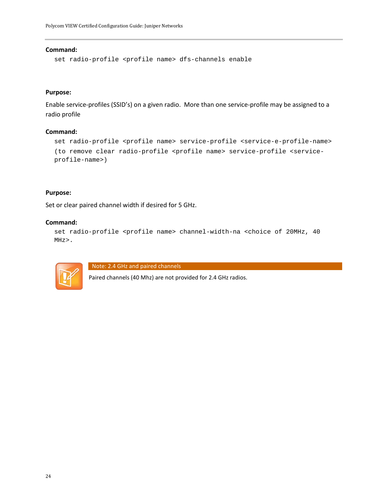#### **Command:**

set radio-profile <profile name> dfs-channels enable

### **Purpose:**

Enable service-profiles (SSID's) on a given radio. More than one service-profile may be assigned to a radio profile

### **Command:**

```
set radio-profile <profile name> service-profile <service-e-profile-name>
(to remove clear radio-profile <profile name> service-profile <service-
profile-name>)
```
### **Purpose:**

Set or clear paired channel width if desired for 5 GHz.

#### **Command:**

```
set radio-profile <profile name> channel-width-na <choice of 20MHz, 40
MHz>.
```


Note: 2.4 GHz and paired channels

Paired channels (40 Mhz) are not provided for 2.4 GHz radios.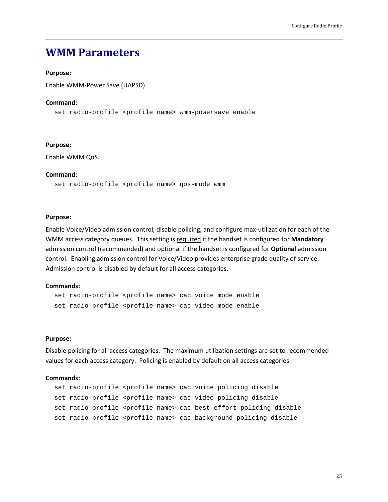# <span id="page-24-0"></span>**WMM Parameters**

# **Purpose:**

Enable WMM-Power Save (UAPSD).

#### **Command:**

set radio-profile <profile name> wmm-powersave enable

#### **Purpose:**

Enable WMM QoS.

#### **Command:**

set radio-profile <profile name> qos-mode wmm

#### **Purpose:**

Enable Voice/Video admission control, disable policing, and configure max-utilization for each of the WMM access category queues. This setting is required if the handset is configured for **Mandatory** admission control (recommended) and optional if the handset is configured for **Optional** admission control. Enabling admission control for Voice/Video provides enterprise grade quality of service. Admission control is disabled by default for all access categories.

### **Commands:**

set radio-profile <profile name> cac voice mode enable set radio-profile <profile name> cac video mode enable

### **Purpose:**

Disable policing for all access categories. The maximum utilization settings are set to recommended values for each access category. Policing is enabled by default on all access categories.

#### **Commands:**

```
set radio-profile <profile name> cac voice policing disable
set radio-profile <profile name> cac video policing disable
set radio-profile <profile name> cac best-effort policing disable
set radio-profile <profile name> cac background policing disable
```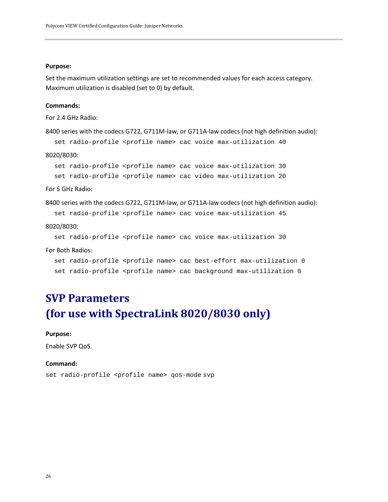#### **Purpose:**

Set the maximum utilization settings are set to recommended values for each access category. Maximum utilization is disabled (set to 0) by default.

### **Commands:**

For 2.4 GHz Radio:

```
8400 series with the codecs G722, G711M-law, or G711A-law codecs (not high definition audio):
```
set radio-profile <profile name> cac voice max-utilization 40

### 8020/8030:

set radio-profile <profile name> cac voice max-utilization 30 set radio-profile <profile name> cac video max-utilization 20

#### For 5 GHz Radio:

```
8400 series with the codecs G722, G711M-law, or G711A-law codecs (not high definition audio):
```
set radio-profile <profile name> cac voice max-utilization 45

#### 8020/8030:

set radio-profile <profile name> cac voice max-utilization 30

#### For Both Radios:

```
set radio-profile <profile name> cac best-effort max-utilization 0
set radio-profile <profile name> cac background max-utilization 0
```
# <span id="page-25-0"></span>**SVP Parameters (for use with SpectraLink 8020/8030 only)**

#### **Purpose:**

Enable SVP QoS.

### **Command:**

set radio-profile <profile name> qos-mode svp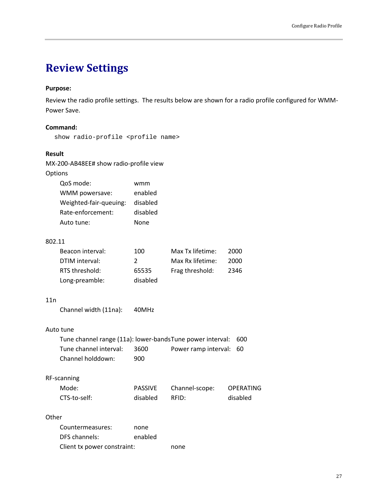# <span id="page-26-0"></span>**Review Settings**

# **Purpose:**

Review the radio profile settings. The results below are shown for a radio profile configured for WMM-Power Save.

# **Command:**

show radio-profile <profile name>

# **Result**

|         | MX-200-AB48EE# show radio-profile view                            |                |                      |           |  |
|---------|-------------------------------------------------------------------|----------------|----------------------|-----------|--|
| Options |                                                                   |                |                      |           |  |
|         | QoS mode:                                                         | wmm            |                      |           |  |
|         | WMM powersave:                                                    | enabled        |                      |           |  |
|         | Weighted-fair-queuing:                                            | disabled       |                      |           |  |
|         | Rate-enforcement:                                                 | disabled       |                      |           |  |
|         | Auto tune:                                                        | None           |                      |           |  |
| 802.11  |                                                                   |                |                      |           |  |
|         | Beacon interval:                                                  | 100            | Max Tx lifetime:     | 2000      |  |
|         | DTIM interval:                                                    | $\overline{2}$ | Max Rx lifetime:     | 2000      |  |
|         | RTS threshold:                                                    | 65535          | Frag threshold:      | 2346      |  |
|         | Long-preamble:                                                    | disabled       |                      |           |  |
| 11n     |                                                                   |                |                      |           |  |
|         | Channel width (11na):                                             | 40MHz          |                      |           |  |
|         | Auto tune                                                         |                |                      |           |  |
|         | Tune channel range (11a): lower-bands Tune power interval:<br>600 |                |                      |           |  |
|         | Tune channel interval:                                            | 3600           | Power ramp interval: | 60        |  |
|         | Channel holddown:                                                 | 900            |                      |           |  |
|         | RF-scanning                                                       |                |                      |           |  |
|         | Mode:                                                             | <b>PASSIVE</b> | Channel-scope:       | OPERATING |  |
|         | CTS-to-self:                                                      | disabled       | RFID:                | disabled  |  |
| Other   |                                                                   |                |                      |           |  |
|         | Countermeasures:                                                  | none           |                      |           |  |
|         | DFS channels:                                                     | enabled        |                      |           |  |

Client tx power constraint: none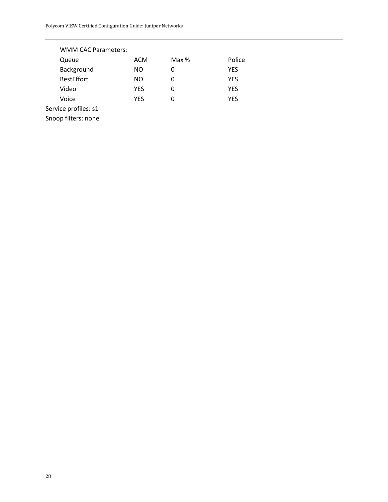| <b>WMM CAC Parameters:</b> |            |       |            |  |
|----------------------------|------------|-------|------------|--|
| Queue                      | <b>ACM</b> | Max % | Police     |  |
| Background                 | ΝO         | 0     | YES        |  |
| <b>BestEffort</b>          | NO.        | 0     | YES        |  |
| Video                      | YES        | Ω     | <b>YES</b> |  |
| Voice                      | YES        | O     | YES        |  |
| Service profiles: s1       |            |       |            |  |
| Snoop filters: none        |            |       |            |  |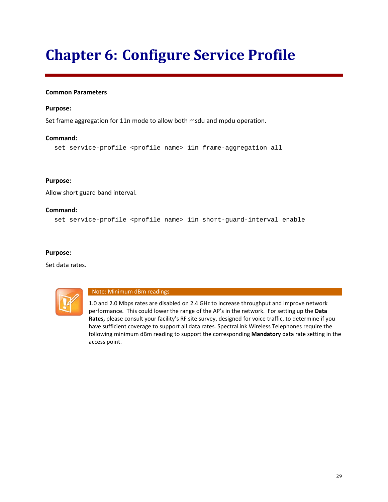# <span id="page-28-0"></span>**Chapter 6: Configure Service Profile**

# **Common Parameters**

# **Purpose:**

Set frame aggregation for 11n mode to allow both msdu and mpdu operation.

# **Command:**

```
set service-profile <profile name> 11n frame-aggregation all
```
# **Purpose:**

Allow short guard band interval.

# **Command:**

set service-profile <profile name> 11n short-guard-interval enable

# **Purpose:**

Set data rates.



### Note: Minimum dBm readings

1.0 and 2.0 Mbps rates are disabled on 2.4 GHz to increase throughput and improve network performance. This could lower the range of the AP's in the network. For setting up the **Data Rates,** please consult your facility's RF site survey, designed for voice traffic, to determine if you have sufficient coverage to support all data rates. SpectraLink Wireless Telephones require the following minimum dBm reading to support the corresponding **Mandatory** data rate setting in the access point.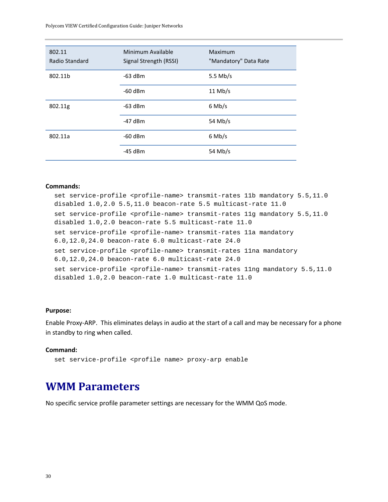Polycom VIEW Certified Configuration Guide: Juniper Networks

| 802.11<br>Radio Standard | Minimum Available<br>Signal Strength (RSSI) | Maximum<br>"Mandatory" Data Rate |
|--------------------------|---------------------------------------------|----------------------------------|
| 802.11b                  | $-63$ dBm                                   | 5.5 Mb/s                         |
|                          | $-60$ dBm                                   | $11$ Mb/s                        |
| 802.11g                  | $-63$ dBm                                   | $6$ Mb/s                         |
|                          | $-47$ dBm                                   | 54 Mb/s                          |
| 802.11a                  | $-60$ dBm                                   | $6$ Mb/s                         |
|                          | $-45$ dBm                                   | 54 Mb/s                          |

### **Commands:**

set service-profile <profile-name> transmit-rates 11b mandatory 5.5,11.0 disabled 1.0,2.0 5.5,11.0 beacon-rate 5.5 multicast-rate 11.0 set service-profile <profile-name> transmit-rates 11g mandatory 5.5,11.0 disabled 1.0,2.0 beacon-rate 5.5 multicast-rate 11.0 set service-profile <profile-name> transmit-rates 11a mandatory 6.0,12.0,24.0 beacon-rate 6.0 multicast-rate 24.0 set service-profile <profile-name> transmit-rates 11na mandatory 6.0,12.0,24.0 beacon-rate 6.0 multicast-rate 24.0 set service-profile <profile-name> transmit-rates 11nq mandatory 5.5,11.0 disabled 1.0,2.0 beacon-rate 1.0 multicast-rate 11.0

# **Purpose:**

Enable Proxy-ARP. This eliminates delays in audio at the start of a call and may be necessary for a phone in standby to ring when called.

### **Command:**

<span id="page-29-0"></span>set service-profile <profile name> proxy-arp enable

# **WMM Parameters**

No specific service profile parameter settings are necessary for the WMM QoS mode.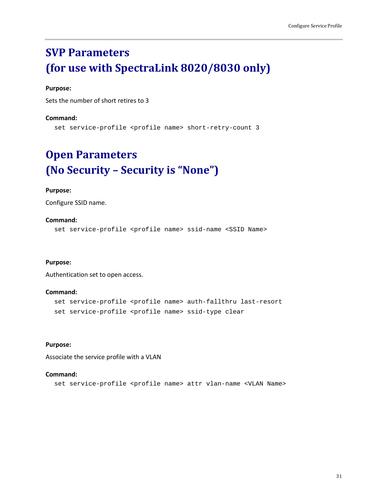# <span id="page-30-0"></span>**SVP Parameters (for use with SpectraLink 8020/8030 only)**

# **Purpose:**

Sets the number of short retires to 3

#### **Command:**

<span id="page-30-1"></span>set service-profile <profile name> short-retry-count 3

# **Open Parameters (No Security – Security is "None")**

### **Purpose:**

Configure SSID name.

### **Command:**

set service-profile <profile name> ssid-name <SSID Name>

#### **Purpose:**

Authentication set to open access.

#### **Command:**

```
set service-profile <profile name> auth-fallthru last-resort
set service-profile <profile name> ssid-type clear
```
#### **Purpose:**

Associate the service profile with a VLAN

#### **Command:**

```
set service-profile <profile name> attr vlan-name <VLAN Name>
```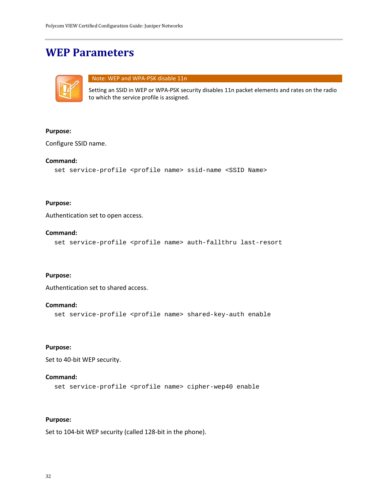# <span id="page-31-0"></span>**WEP Parameters**



# Note: WEP and WPA-PSK disable 11n

Setting an SSID in WEP or WPA-PSK security disables 11n packet elements and rates on the radio to which the service profile is assigned.

# **Purpose:**

Configure SSID name.

# **Command:**

```
set service-profile <profile name> ssid-name <SSID Name>
```
### **Purpose:**

Authentication set to open access.

### **Command:**

set service-profile <profile name> auth-fallthru last-resort

# **Purpose:**

Authentication set to shared access.

# **Command:**

set service-profile <profile name> shared-key-auth enable

# **Purpose:**

Set to 40-bit WEP security.

# **Command:**

set service-profile <profile name> cipher-wep40 enable

# **Purpose:**

Set to 104-bit WEP security (called 128-bit in the phone).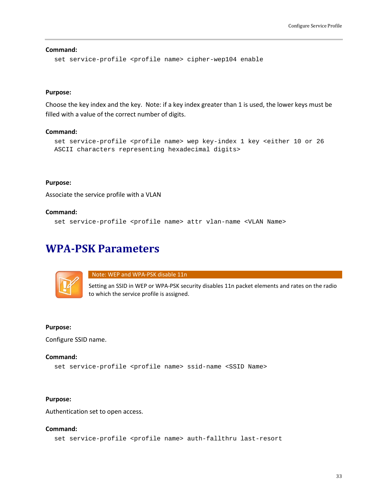**Command:** set service-profile <profile name> cipher-wep104 enable

#### **Purpose:**

Choose the key index and the key. Note: if a key index greater than 1 is used, the lower keys must be filled with a value of the correct number of digits.

#### **Command:**

```
set service-profile <profile name> wep key-index 1 key <either 10 or 26
ASCII characters representing hexadecimal digits>
```
#### **Purpose:**

Associate the service profile with a VLAN

#### **Command:**

<span id="page-32-0"></span>set service-profile <profile name> attr vlan-name <VLAN Name>

# **WPA-PSK Parameters**



Note: WEP and WPA-PSK disable 11n

Setting an SSID in WEP or WPA-PSK security disables 11n packet elements and rates on the radio to which the service profile is assigned.

#### **Purpose:**

Configure SSID name.

### **Command:**

```
set service-profile <profile name> ssid-name <SSID Name>
```
#### **Purpose:**

Authentication set to open access.

# **Command:**

set service-profile <profile name> auth-fallthru last-resort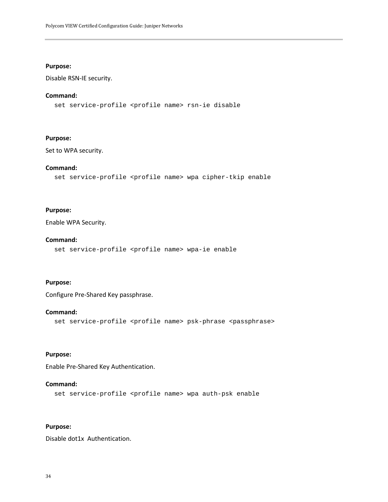# **Purpose:**

Disable RSN-IE security.

### **Command:**

set service-profile <profile name> rsn-ie disable

#### **Purpose:**

Set to WPA security.

# **Command:**

set service-profile <profile name> wpa cipher-tkip enable

### **Purpose:**

Enable WPA Security.

#### **Command:**

set service-profile <profile name> wpa-ie enable

# **Purpose:**

Configure Pre-Shared Key passphrase.

# **Command:**

set service-profile <profile name> psk-phrase <passphrase>

# **Purpose:**

Enable Pre-Shared Key Authentication.

#### **Command:**

set service-profile <profile name> wpa auth-psk enable

# **Purpose:**

Disable dot1x Authentication.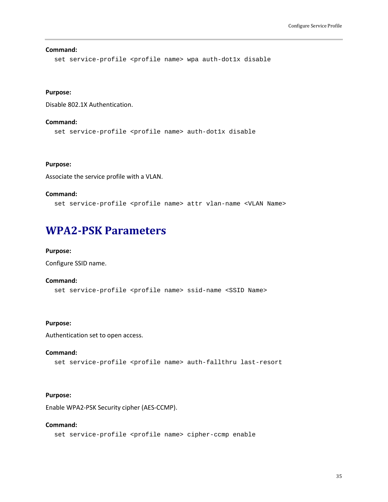#### **Command:**

set service-profile <profile name> wpa auth-dot1x disable

### **Purpose:**

Disable 802.1X Authentication.

### **Command:**

set service-profile <profile name> auth-dot1x disable

# **Purpose:**

Associate the service profile with a VLAN.

#### **Command:**

<span id="page-34-0"></span>set service-profile <profile name> attr vlan-name <VLAN Name>

# **WPA2-PSK Parameters**

#### **Purpose:**

Configure SSID name.

### **Command:**

set service-profile <profile name> ssid-name <SSID Name>

### **Purpose:**

Authentication set to open access.

#### **Command:**

set service-profile <profile name> auth-fallthru last-resort

### **Purpose:**

Enable WPA2-PSK Security cipher (AES-CCMP).

#### **Command:**

set service-profile <profile name> cipher-ccmp enable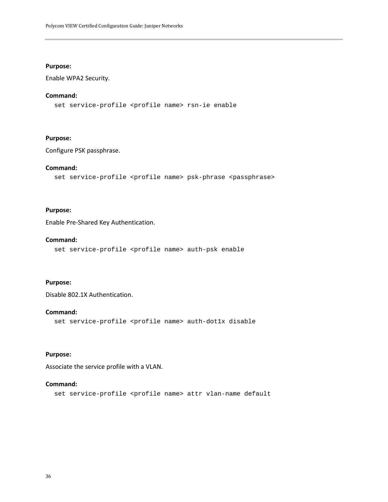### **Purpose:**

Enable WPA2 Security.

### **Command:**

set service-profile <profile name> rsn-ie enable

#### **Purpose:**

Configure PSK passphrase.

# **Command:**

```
set service-profile <profile name> psk-phrase <passphrase>
```
# **Purpose:**

Enable Pre-Shared Key Authentication.

#### **Command:**

set service-profile <profile name> auth-psk enable

# **Purpose:**

Disable 802.1X Authentication.

### **Command:**

set service-profile <profile name> auth-dot1x disable

### **Purpose:**

Associate the service profile with a VLAN.

#### **Command:**

set service-profile <profile name> attr vlan-name default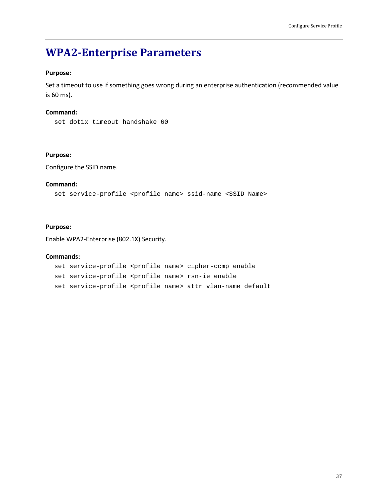### **WPA2-Enterprise Parameters**

#### **Purpose:**

Set a timeout to use if something goes wrong during an enterprise authentication (recommended value is 60 ms).

#### **Command:**

set dot1x timeout handshake 60

#### **Purpose:**

Configure the SSID name.

#### **Command:**

set service-profile <profile name> ssid-name <SSID Name>

#### **Purpose:**

Enable WPA2-Enterprise (802.1X) Security.

#### **Commands:**

set service-profile <profile name> cipher-ccmp enable set service-profile <profile name> rsn-ie enable set service-profile <profile name> attr vlan-name default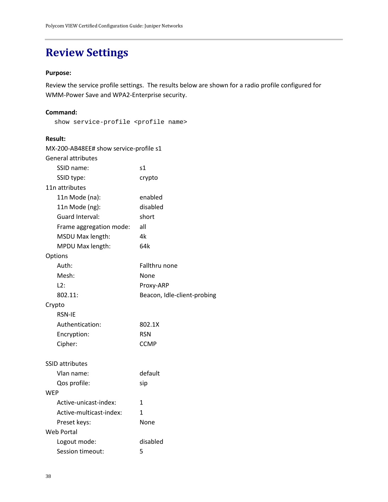### **Review Settings**

#### **Purpose:**

Review the service profile settings. The results below are shown for a radio profile configured for WMM-Power Save and WPA2-Enterprise security.

#### **Command:**

show service-profile <profile name>

#### **Result:**

| MX-200-AB48EE# show service-profile s1 |                             |
|----------------------------------------|-----------------------------|
| <b>General attributes</b>              |                             |
| SSID name:                             | s1                          |
| SSID type:                             | crypto                      |
| 11n attributes                         |                             |
| 11n Mode (na):                         | enabled                     |
| 11n Mode (ng):                         | disabled                    |
| Guard Interval:                        | short                       |
| Frame aggregation mode:                | all                         |
| MSDU Max length:                       | 4k                          |
| MPDU Max length:                       | 64k                         |
| Options                                |                             |
| Auth:                                  | Fallthru none               |
| Mesh:                                  | None                        |
| L2:                                    | Proxy-ARP                   |
| 802.11:                                | Beacon, Idle-client-probing |
| Crypto                                 |                             |
| <b>RSN-IE</b>                          |                             |
|                                        |                             |
| Authentication:                        | 802.1X                      |
| Encryption:                            | <b>RSN</b>                  |
| Cipher:                                | <b>CCMP</b>                 |
|                                        |                             |
| <b>SSID attributes</b>                 |                             |
| Vlan name:                             | default                     |
| Qos profile:                           | sip                         |
| WEP                                    |                             |
| Active-unicast-index:                  | 1                           |
| Active-multicast-index:                | 1                           |
| Preset keys:                           | None                        |
| Web Portal                             |                             |
| Logout mode:<br>Session timeout:       | disabled<br>5               |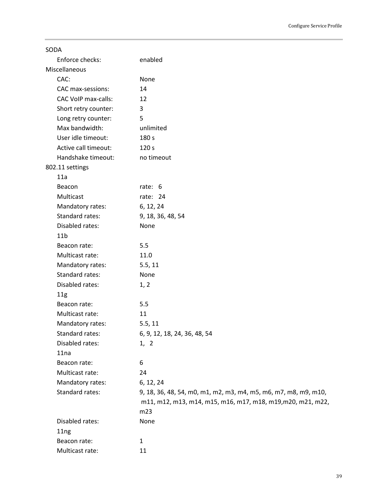| SODA                       |                                                                 |
|----------------------------|-----------------------------------------------------------------|
| Enforce checks:            | enabled                                                         |
| Miscellaneous              |                                                                 |
| CAC:                       | None                                                            |
| CAC max-sessions:          | 14                                                              |
| <b>CAC VoIP max-calls:</b> | 12                                                              |
| Short retry counter:       | 3                                                               |
| Long retry counter:        | 5                                                               |
| Max bandwidth:             | unlimited                                                       |
| User idle timeout:         | 180 s                                                           |
| Active call timeout:       | 120 s                                                           |
| Handshake timeout:         | no timeout                                                      |
| 802.11 settings            |                                                                 |
| 11a                        |                                                                 |
| Beacon                     | rate: 6                                                         |
| Multicast                  | rate: 24                                                        |
| Mandatory rates:           | 6, 12, 24                                                       |
| Standard rates:            | 9, 18, 36, 48, 54                                               |
| Disabled rates:            | None                                                            |
| 11 <sub>b</sub>            |                                                                 |
| Beacon rate:               | 5.5                                                             |
| Multicast rate:            | 11.0                                                            |
| Mandatory rates:           | 5.5, 11                                                         |
| Standard rates:            | None                                                            |
| Disabled rates:            | 1, 2                                                            |
| 11g                        |                                                                 |
| Beacon rate:               | 5.5                                                             |
| Multicast rate:            | 11                                                              |
| Mandatory rates:           | 5.5, 11                                                         |
| Standard rates:            | 6, 9, 12, 18, 24, 36, 48, 54                                    |
| Disabled rates:            | 1, 2                                                            |
| 11na                       |                                                                 |
| Beacon rate:               | 6                                                               |
| Multicast rate:            | 24                                                              |
| Mandatory rates:           | 6, 12, 24                                                       |
| Standard rates:            | 9, 18, 36, 48, 54, m0, m1, m2, m3, m4, m5, m6, m7, m8, m9, m10, |
|                            | m11, m12, m13, m14, m15, m16, m17, m18, m19, m20, m21, m22,     |
|                            | m23                                                             |
| Disabled rates:            | None                                                            |
| 11ng                       |                                                                 |
| Beacon rate:               | 1                                                               |
| Multicast rate:            | 11                                                              |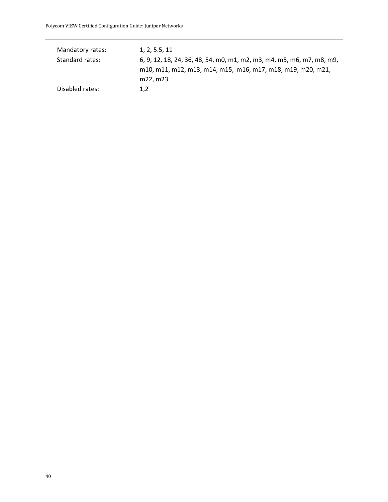| Mandatory rates: | 1, 2, 5.5, 11                                                         |
|------------------|-----------------------------------------------------------------------|
| Standard rates:  | 6, 9, 12, 18, 24, 36, 48, 54, m0, m1, m2, m3, m4, m5, m6, m7, m8, m9, |
|                  | m10, m11, m12, m13, m14, m15, m16, m17, m18, m19, m20, m21,           |
|                  | m22, m23                                                              |
| Disabled rates:  | 1.2                                                                   |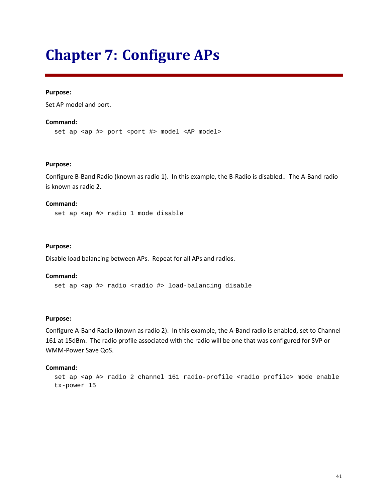## **Chapter 7: Configure APs**

#### **Purpose:**

Set AP model and port.

#### **Command:**

set ap <ap #> port <port #> model <AP model>

#### **Purpose:**

Configure B-Band Radio (known as radio 1). In this example, the B-Radio is disabled.. The A-Band radio is known as radio 2.

#### **Command:**

set ap <ap #> radio 1 mode disable

#### **Purpose:**

Disable load balancing between APs. Repeat for all APs and radios.

#### **Command:**

set ap <ap #> radio <radio #> load-balancing disable

#### **Purpose:**

Configure A-Band Radio (known as radio 2). In this example, the A-Band radio is enabled, set to Channel 161 at 15dBm. The radio profile associated with the radio will be one that was configured for SVP or WMM-Power Save QoS.

#### **Command:**

```
set ap <ap #> radio 2 channel 161 radio-profile <radio profile> mode enable
tx-power 15
```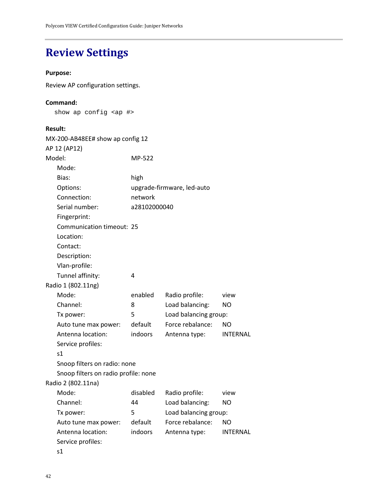## **Review Settings**

#### **Purpose:**

Review AP configuration settings.

#### **Command:**

show ap config <ap #>

#### **Result:**

| MX-200-AB48EE# show ap config 12     |              |                            |                 |
|--------------------------------------|--------------|----------------------------|-----------------|
| AP 12 (AP12)                         |              |                            |                 |
| Model:                               | MP-522       |                            |                 |
| Mode:                                |              |                            |                 |
| Bias:                                | high         |                            |                 |
| Options:                             |              | upgrade-firmware, led-auto |                 |
| Connection:                          | network      |                            |                 |
| Serial number:                       | a28102000040 |                            |                 |
| Fingerprint:                         |              |                            |                 |
| Communication timeout: 25            |              |                            |                 |
| Location:                            |              |                            |                 |
| Contact:                             |              |                            |                 |
| Description:                         |              |                            |                 |
| Vlan-profile:                        |              |                            |                 |
| Tunnel affinity:                     | 4            |                            |                 |
| Radio 1 (802.11ng)                   |              |                            |                 |
| Mode:                                | enabled      | Radio profile:             | view            |
| Channel:                             | 8            | Load balancing:            | N <sub>O</sub>  |
| Tx power:                            | 5            | Load balancing group:      |                 |
| Auto tune max power:                 | default      | Force rebalance:           | ΝO              |
| Antenna location:                    | indoors      | Antenna type:              | <b>INTERNAL</b> |
| Service profiles:                    |              |                            |                 |
| s1                                   |              |                            |                 |
| Snoop filters on radio: none         |              |                            |                 |
| Snoop filters on radio profile: none |              |                            |                 |
| Radio 2 (802.11na)                   |              |                            |                 |
| Mode:                                | disabled     | Radio profile:             | view            |
| Channel:                             | 44           | Load balancing:            | <b>NO</b>       |
| Tx power:                            | 5            | Load balancing group:      |                 |
| Auto tune max power:                 | default      | Force rebalance:           | <b>NO</b>       |
| Antenna location:                    | indoors      | Antenna type:              | <b>INTERNAL</b> |
| Service profiles:                    |              |                            |                 |
| s1                                   |              |                            |                 |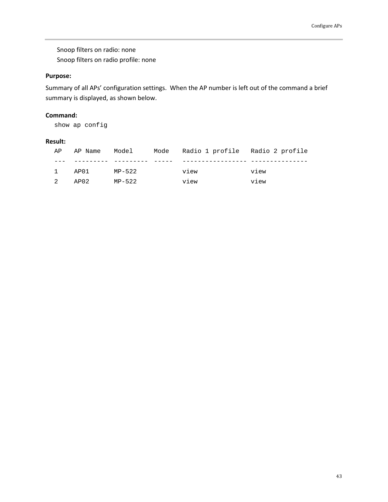Snoop filters on radio: none Snoop filters on radio profile: none

#### **Purpose:**

Summary of all APs' configuration settings. When the AP number is left out of the command a brief summary is displayed, as shown below.

#### **Command:**

show ap config

#### **Result:**

| AP             | AP Name | Model  | Mode Radio 1 profile Radio 2 profile |      |
|----------------|---------|--------|--------------------------------------|------|
|                |         |        |                                      |      |
| $\mathbf{1}$   | AP01    | MP-522 | view                                 | view |
| $\overline{2}$ | AP02    | MP-522 | view                                 | view |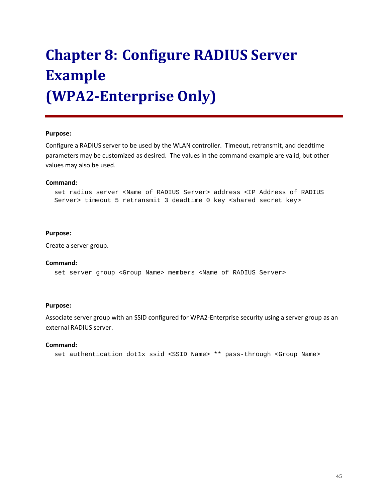# **Chapter 8: Configure RADIUS Server Example (WPA2-Enterprise Only)**

#### **Purpose:**

Configure a RADIUS server to be used by the WLAN controller. Timeout, retransmit, and deadtime parameters may be customized as desired. The values in the command example are valid, but other values may also be used.

#### **Command:**

set radius server <Name of RADIUS Server> address <IP Address of RADIUS Server> timeout 5 retransmit 3 deadtime 0 key <shared secret key>

#### **Purpose:**

Create a server group.

#### **Command:**

set server group <Group Name> members <Name of RADIUS Server>

#### **Purpose:**

Associate server group with an SSID configured for WPA2-Enterprise security using a server group as an external RADIUS server.

#### **Command:**

set authentication dot1x ssid <SSID Name> \*\* pass-through <Group Name>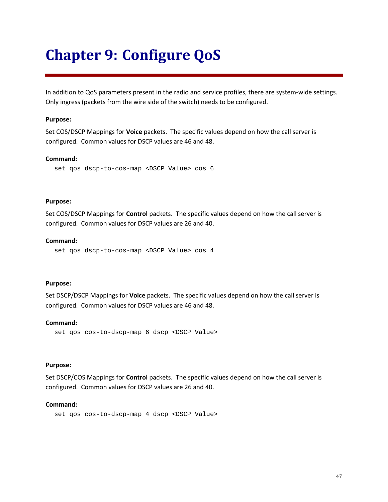## **Chapter 9: Configure QoS**

In addition to QoS parameters present in the radio and service profiles, there are system-wide settings. Only ingress (packets from the wire side of the switch) needs to be configured.

#### **Purpose:**

Set COS/DSCP Mappings for **Voice** packets. The specific values depend on how the call server is configured. Common values for DSCP values are 46 and 48.

#### **Command:**

```
set qos dscp-to-cos-map <DSCP Value> cos 6
```
#### **Purpose:**

Set COS/DSCP Mappings for **Control** packets. The specific values depend on how the call server is configured. Common values for DSCP values are 26 and 40.

#### **Command:**

set qos dscp-to-cos-map <DSCP Value> cos 4

#### **Purpose:**

Set DSCP/DSCP Mappings for **Voice** packets. The specific values depend on how the call server is configured. Common values for DSCP values are 46 and 48.

#### **Command:**

set qos cos-to-dscp-map 6 dscp <DSCP Value>

#### **Purpose:**

Set DSCP/COS Mappings for **Control** packets. The specific values depend on how the call server is configured. Common values for DSCP values are 26 and 40.

#### **Command:**

set qos cos-to-dscp-map 4 dscp <DSCP Value>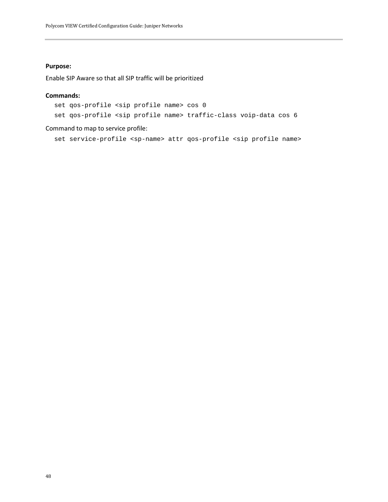#### **Purpose:**

Enable SIP Aware so that all SIP traffic will be prioritized

#### **Commands:**

set qos-profile <sip profile name> cos 0

set qos-profile <sip profile name> traffic-class voip-data cos 6

#### Command to map to service profile:

set service-profile <sp-name> attr qos-profile <sip profile name>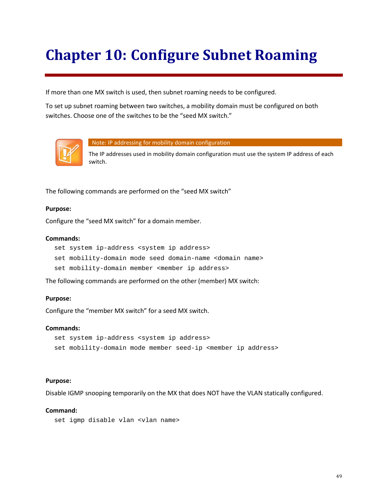# **Chapter 10: Configure Subnet Roaming**

If more than one MX switch is used, then subnet roaming needs to be configured.

To set up subnet roaming between two switches, a mobility domain must be configured on both switches. Choose one of the switches to be the "seed MX switch."



Note: IP addressing for mobility domain configuration

The IP addresses used in mobility domain configuration must use the system IP address of each switch.

The following commands are performed on the "seed MX switch"

#### **Purpose:**

Configure the "seed MX switch" for a domain member.

#### **Commands:**

set system ip-address <system ip address> set mobility-domain mode seed domain-name <domain name> set mobility-domain member <member ip address>

The following commands are performed on the other (member) MX switch:

#### **Purpose:**

Configure the "member MX switch" for a seed MX switch.

#### **Commands:**

```
set system ip-address <system ip address>
set mobility-domain mode member seed-ip <member ip address>
```
#### **Purpose:**

Disable IGMP snooping temporarily on the MX that does NOT have the VLAN statically configured.

#### **Command:**

```
set igmp disable vlan <vlan name>
```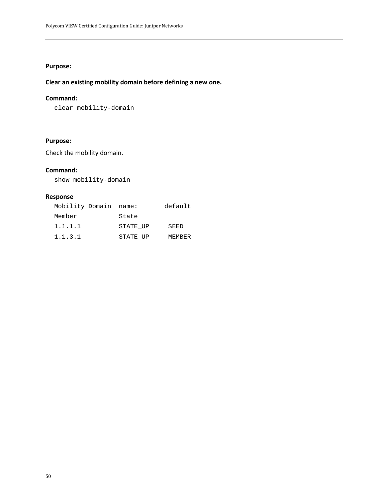#### **Purpose:**

#### **Clear an existing mobility domain before defining a new one.**

#### **Command:**

clear mobility-domain

#### **Purpose:**

Check the mobility domain.

#### **Command:**

show mobility-domain

#### **Response**

| Mobility Domain name: |          | default       |
|-----------------------|----------|---------------|
| Member                | State    |               |
| 1.1.1.1               | STATE UP | SEED          |
| 1.1.3.1               | STATE UP | <b>MEMBER</b> |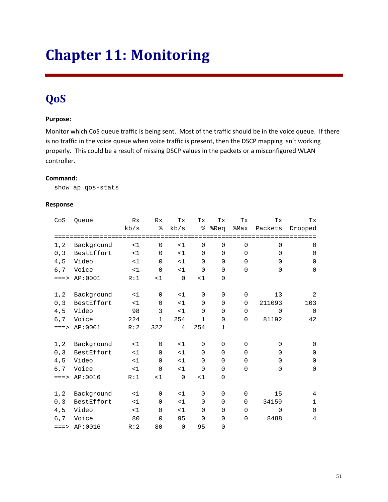# **Chapter 11: Monitoring**

### **QoS**

#### **Purpose:**

Monitor which CoS queue traffic is being sent. Most of the traffic should be in the voice queue. If there is no traffic in the voice queue when voice traffic is present, then the DSCP mapping isn't working properly. This could be a result of missing DSCP values in the packets or a misconfigured WLAN controller.

#### **Command:**

show ap qos-stats

#### **Response**

| CoS         | Queue      | Rx    | Rx           | Тx             | Tx           | Тx          | Tx           | Тx           | Tх           |
|-------------|------------|-------|--------------|----------------|--------------|-------------|--------------|--------------|--------------|
|             |            | kb/s  | ⊱            | kb/s           | နွ           | %Req        | %Max         | Packets      | Dropped      |
|             |            |       |              |                |              |             |              |              |              |
| 1, 2        | Background | <1    | $\Omega$     | <1             | $\Omega$     | $\mathbf 0$ | $\mathbf 0$  | $\mathbf 0$  | $\mathbf 0$  |
| 0, 3        | BestEffort | <1    | $\Omega$     | <1             | $\Omega$     | $\Omega$    | $\Omega$     | $\Omega$     | $\Omega$     |
| 4,5         | Video      | <1    | $\Omega$     | <1             | $\Omega$     | 0           | $\Omega$     | $\mathbf{0}$ | $\mathbf 0$  |
| $6,7$       | Voice      | <1    | $\mathbf 0$  | <1             | $\mathbf 0$  | $\mathbf 0$ | $\mathbf 0$  | $\mathbf 0$  | $\mathbf 0$  |
| $=$ = $=$ > | AP:0001    | R:1   | <1           | $\Omega$       | <1           | 0           |              |              |              |
| 1, 2        | Background | <1    | $\Omega$     | <1             | $\Omega$     | $\mathbf 0$ | $\mathbf 0$  | 13           | 2            |
| 0, 3        | BestEffort | <1    | $\Omega$     | <1             | $\Omega$     | $\mathbf 0$ | $\Omega$     | 211093       | 103          |
| 4, 5        | Video      | 98    | 3            | <1             | $\Omega$     | $\Omega$    | $\Omega$     | $\Omega$     | $\mathbf 0$  |
| 6,7         | Voice      | 224   | $\mathbf{1}$ | 254            | $\mathbf{1}$ | $\mathbf 0$ | $\mathbf 0$  | 81192        | 42           |
| $=$ = $=$ > | AP:0001    | R:2   | 322          | 4              | 254          | $\mathbf 1$ |              |              |              |
| 1, 2        | Background | <1    | $\mathbf 0$  | <1             | $\mathbf 0$  | $\mathbf 0$ | $\mathbf 0$  | $\mathbf 0$  | $\Omega$     |
| 0, 3        | BestEffort | <1    | $\Omega$     | <1             | $\Omega$     | $\mathbf 0$ | $\Omega$     | $\Omega$     | $\Omega$     |
| 4, 5        | Video      | $<$ 1 | $\Omega$     | <1             | $\mathbf 0$  | 0           | $\Omega$     | $\Omega$     | $\Omega$     |
| 6,7         | Voice      | <1    | $\Omega$     | <1             | $\mathbf 0$  | $\mathbf 0$ | $\mathbf 0$  | 0            | $\mathbf 0$  |
| $=$ = $=$ > | AP:0016    | R:1   | <1           | $\overline{0}$ | <1           | $\mathsf 0$ |              |              |              |
| 1, 2        | Background | <1    | $\mathbf 0$  | <1             | $\mathbf 0$  | $\mathbf 0$ | $\mathbf 0$  | 15           | 4            |
| 0, 3        | BestEffort | <1    | $\Omega$     | <1             | $\Omega$     | $\mathbf 0$ | $\Omega$     | 34159        | $\mathbf{1}$ |
| 4,5         | Video      | <1    | $\Omega$     | <1             | $\Omega$     | $\mathbf 0$ | $\mathbf{0}$ | $\mathbf 0$  | $\mathbf 0$  |
| 6,7         | Voice      | 80    | $\mathbf 0$  | 95             | $\mathbf 0$  | $\mathbf 0$ | $\mathbf 0$  | 8488         | 4            |
| $=$ = $=$ > | AP:0016    | R:2   | 80           | $\Omega$       | 95           | 0           |              |              |              |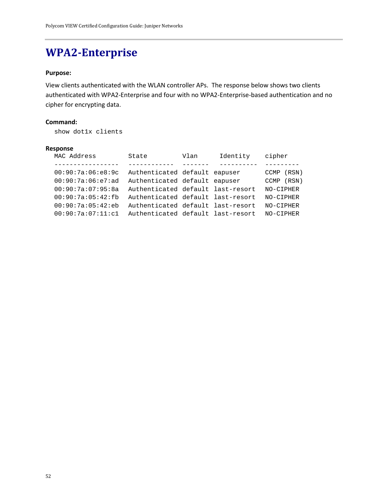### **WPA2-Enterprise**

#### **Purpose:**

View clients authenticated with the WLAN controller APs. The response below shows two clients authenticated with WPA2-Enterprise and four with no WPA2-Enterprise-based authentication and no cipher for encrypting data.

#### **Command:**

show dot1x clients

#### **Response**

| MAC Address       | State                             | Vlan | Identity | cipher        |
|-------------------|-----------------------------------|------|----------|---------------|
|                   |                                   |      |          |               |
| 00:90:7a:06:e8:9c | Authenticated default eapuser     |      |          | (RSN)<br>CCMP |
| 00:90:7a:06:e7:ad | Authenticated default eapuser     |      |          | (RSN)<br>CCMP |
| 00:90:7a:07:95:8a | Authenticated default last-resort |      |          | NO-CIPHER     |
| 00:90:7a:05:42:fb | Authenticated default last-resort |      |          | NO-CIPHER     |
| 00:90:7a:05:42:eb | Authenticated default last-resort |      |          | NO-CIPHER     |
| 00:90:7a:07:11:c1 | Authenticated default last-resort |      |          | NO-CIPHER     |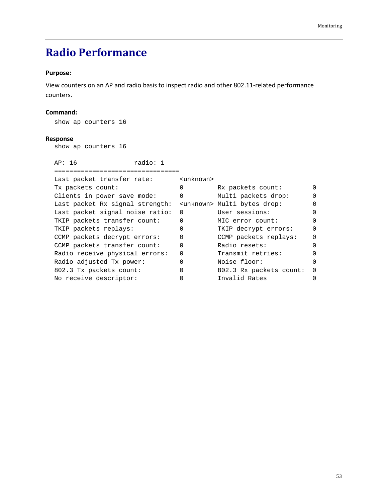## **Radio Performance**

#### **Purpose:**

View counters on an AP and radio basis to inspect radio and other 802.11-related performance counters.

#### **Command:**

show ap counters 16

#### **Response**

show ap counters 16

| AP: 16                          | radio: 1 |                     |                                       |          |
|---------------------------------|----------|---------------------|---------------------------------------|----------|
|                                 |          |                     |                                       |          |
| Last packet transfer rate:      |          | <unknown></unknown> |                                       |          |
| Tx packets count:               |          | $\Omega$            | Rx packets count:                     |          |
| Clients in power save mode:     |          | $\Omega$            | Multi packets drop:                   |          |
| Last packet Rx signal strength: |          |                     | <unknown> Multi bytes drop:</unknown> |          |
| Last packet signal noise ratio: |          | $\Omega$            | User sessions:                        | 0        |
| TKIP packets transfer count:    |          | $\Omega$            | MIC error count:                      |          |
| TKIP packets replays:           |          | 0                   | TKIP decrypt errors:                  | $\Omega$ |
| CCMP packets decrypt errors:    |          | $\Omega$            | CCMP packets replays:                 |          |
| CCMP packets transfer count:    |          | O                   | Radio resets:                         | U        |
| Radio receive physical errors:  |          | $\Omega$            | Transmit retries:                     |          |
| Radio adjusted Tx power:        |          | O                   | Noise floor:                          | U        |
| 802.3 Tx packets count:         |          | $\Omega$            | 802.3 Rx packets count:               | $\Omega$ |
| No receive descriptor:          |          |                     | Invalid Rates                         |          |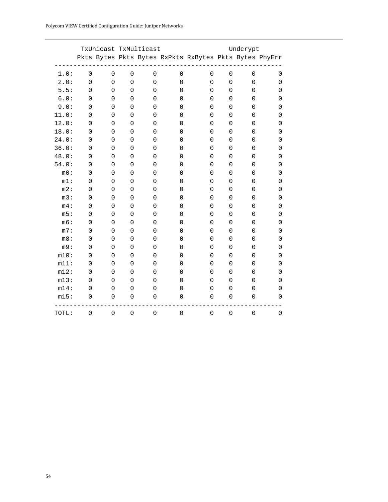|         |                     |                     |                     | TxUnicast TxMulticast |                     |                                                        |                     | Undcrypt            |                     |
|---------|---------------------|---------------------|---------------------|-----------------------|---------------------|--------------------------------------------------------|---------------------|---------------------|---------------------|
|         |                     |                     |                     |                       |                     | Pkts Bytes Pkts Bytes RxPkts RxBytes Pkts Bytes PhyErr |                     |                     |                     |
| 1.0:    | $\mathsf{O}\xspace$ | $\overline{0}$      | $\overline{0}$      | $\mathbf 0$           | $\mathbf 0$         | $\mathbf 0$                                            | $\mathbf 0$         | $\mathbf 0$         | $\mathbf 0$         |
| 2.0:    | $\overline{0}$      | $\overline{0}$      | $\overline{0}$      | $\overline{0}$        | $\overline{0}$      | $\overline{0}$                                         | 0                   | $\mathbf 0$         | $\mathbf 0$         |
| 5.5:    | $\mathbf 0$         | 0                   | 0                   | 0                     | 0                   | 0                                                      | 0                   | $\mathbf 0$         | $\mathbf 0$         |
| 6.0:    | 0                   | 0                   | $\overline{0}$      | 0                     | 0                   | 0                                                      | 0                   | 0                   | $\mathbf 0$         |
| 9.0:    | 0                   | $\Omega$            | 0                   | 0                     | 0                   | $\Omega$                                               | 0                   | 0                   | $\mathbf 0$         |
| 11.0:   | 0                   | 0                   | 0                   | $\mathbf 0$           | $\mathbf 0$         | $\mathbf 0$                                            | 0                   | $\mathbf 0$         | $\mathbf 0$         |
| 12.0:   | 0                   | 0                   | 0                   | 0                     | 0                   | 0                                                      | 0                   | $\mathbf 0$         | $\mathbf 0$         |
| 18.0:   | 0                   | 0                   | $\mathsf 0$         | 0                     | 0                   | 0                                                      | 0                   | 0                   | $\mathbf 0$         |
| 24.0:   | $\overline{0}$      | 0                   | $\overline{0}$      | 0                     | 0                   | 0                                                      | 0                   | $\mathbf 0$         | $\mathbf 0$         |
| 36.0:   | $\overline{0}$      | $\overline{0}$      | $\mathsf 0$         | $\mathbf 0$           | 0                   | $\overline{0}$                                         | $\mathbf 0$         | $\mathbf 0$         | $\mathbf 0$         |
| 48.0:   | 0                   | $\mathsf 0$         | $\mathsf 0$         | $\overline{0}$        | $\mathsf 0$         | $\mathsf 0$                                            | 0                   | $\mathbf 0$         | $\mathbf 0$         |
| 54.0:   | 0                   | 0                   | $\mathsf 0$         | 0                     | 0                   | 0                                                      | 0                   | 0                   | $\mathbf 0$         |
| $m0$ :  | $\mathbf 0$         | 0                   | 0                   | 0                     | 0                   | 0                                                      | 0                   | 0                   | $\mathbf 0$         |
| $m1$ :  | $\mathbf 0$         | 0                   | 0                   | $\mathbf 0$           | 0                   | $\mathbf 0$                                            | $\mathbf 0$         | $\mathbf 0$         | $\mathbf 0$         |
| $m2$ :  | $\mathsf{O}\xspace$ | $\mathsf 0$         | $\mathsf{O}\xspace$ | $\mathsf{O}\xspace$   | 0                   | $\mathsf{O}\xspace$                                    | 0                   | $\mathbf 0$         | $\mathbf 0$         |
| m3:     | $\mathbf 0$         | 0                   | $\overline{0}$      | $\mathbf 0$           | $\mathbf 0$         | $\mathbf 0$                                            | 0                   | $\mathbf 0$         | $\mathbf 0$         |
| $m4$ :  | $\mathbf 0$         | 0                   | 0                   | 0                     | 0                   | 0                                                      | 0                   | $\mathbf 0$         | $\mathbf 0$         |
| m5:     | $\mathbf 0$         | 0                   | $\overline{0}$      | $\mathbf 0$           | 0                   | 0                                                      | $\mathbf 0$         | $\mathbf 0$         | $\mathbf 0$         |
| m6:     | $\overline{0}$      | $\mathsf{O}\xspace$ | $\mathsf{O}\xspace$ | $\overline{0}$        | $\mathsf{O}\xspace$ | $\mathsf{O}\xspace$                                    | 0                   | $\mathbf 0$         | $\mathbf 0$         |
| m7:     | 0                   | $\Omega$            | 0                   | 0                     | 0                   | 0                                                      | 0                   | 0                   | $\mathbf 0$         |
| m8:     | $\mathbf 0$         | 0                   | 0                   | 0                     | 0                   | 0                                                      | 0                   | 0                   | $\mathbf 0$         |
| m9:     | $\mathbf 0$         | 0                   | 0                   | $\mathbf 0$           | 0                   | $\mathbf 0$                                            | $\mathbf 0$         | $\mathbf 0$         | $\mathbf 0$         |
| m10:    | $\mathsf{O}\xspace$ | $\mathsf 0$         | $\mathsf 0$         | $\mathsf 0$           | 0                   | $\mathsf 0$                                            | 0                   | $\mathbf 0$         | $\mathbf 0$         |
| $m11$ : | 0                   | $\mathbf 0$         | $\overline{0}$      | $\mathbf 0$           | $\mathbf 0$         | $\mathbf 0$                                            | 0                   | $\mathbf 0$         | $\mathbf 0$         |
| m12:    | 0                   | $\mathbf 0$         | $\mathbf 0$         | 0                     | $\mathbf 0$         | 0                                                      | 0                   | $\mathbf 0$         | $\mathbf 0$         |
| m13:    | $\mathbf 0$         | 0                   | $\overline{0}$      | 0                     | 0                   | $\mathbf 0$                                            | $\mathbf 0$         | $\mathbf 0$         | $\mathbf 0$         |
| $m14$ : | $\mathsf{O}\xspace$ | $\mathsf 0$         | $\mathsf 0$         | $\overline{0}$        | 0                   | $\mathsf 0$                                            | $\mathsf{O}\xspace$ | 0                   | $\mathbf 0$         |
| m15:    | $\mathsf{O}\xspace$ | 0                   | $\overline{0}$      | $\mathbf 0$           | 0                   | 0                                                      | 0                   | $\mathbf 0$         | $\mathbf 0$         |
| TOTL:   | $\mathbf 0$         | 0                   | $\mathsf 0$         | $\mathbf 0$           | $\mathsf 0$         | $\mathsf 0$                                            | $\mathbf 0$         | $\mathsf{O}\xspace$ | $\mathsf{O}\xspace$ |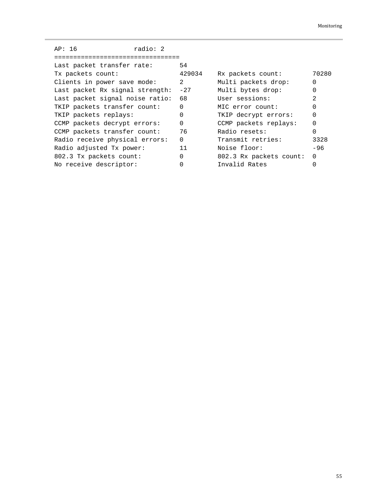| AP: 16                          | radio: 2 |          |                         |                |
|---------------------------------|----------|----------|-------------------------|----------------|
|                                 |          |          |                         |                |
| Last packet transfer rate:      |          | 54       |                         |                |
| Tx packets count:               |          | 429034   | Rx packets count:       | 70280          |
| Clients in power save mode:     |          | 2        | Multi packets drop:     | $\Omega$       |
| Last packet Rx signal strength: |          | $-27$    | Multi bytes drop:       | $\Omega$       |
| Last packet signal noise ratio: |          | 68       | User sessions:          | $\mathfrak{D}$ |
| TKIP packets transfer count:    |          | $\Omega$ | MIC error count:        | $\Omega$       |
| TKIP packets replays:           |          | 0        | TKIP decrypt errors:    | $\Omega$       |
| CCMP packets decrypt errors:    |          | $\Omega$ | CCMP packets replays:   | $\Omega$       |
| CCMP packets transfer count:    |          | 76       | Radio resets:           | $\Omega$       |
| Radio receive physical errors:  |          | $\Omega$ | Transmit retries:       | 3328           |
| Radio adjusted Tx power:        |          | 11       | Noise floor:            | $-96$          |
| 802.3 Tx packets count:         |          | 0        | 802.3 Rx packets count: | $\Omega$       |
| No receive descriptor:          |          | O        | Invalid Rates           | 0              |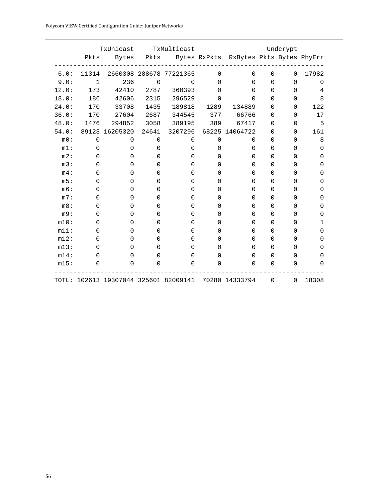| Polycom VIEW Certified Configuration Guide: Juniper Networks |  |
|--------------------------------------------------------------|--|
|--------------------------------------------------------------|--|

|         | TxUnicast   |                                       | TxMulticast |                         | Undcrypt    |                                             |             |          |          |
|---------|-------------|---------------------------------------|-------------|-------------------------|-------------|---------------------------------------------|-------------|----------|----------|
|         | Pkts        | Bytes                                 |             |                         |             | Pkts Bytes RxPkts RxBytes Pkts Bytes PhyErr |             |          |          |
| 6.0:    | 11314       |                                       |             | 2660308 288678 77221365 | $\mathbf 0$ | 0                                           | 0           | 0        | 17982    |
| 9.0:    | $\mathbf 1$ | 236                                   | $\mathbf 0$ | $\mathbf 0$             | $\Omega$    | $\Omega$                                    | $\Omega$    | 0        | $\Omega$ |
| 12.0:   | 173         | 42410                                 | 2787        | 360393                  | $\Omega$    | 0                                           | $\mathbf 0$ | 0        | 4        |
| 18.0:   | 186         | 42606                                 | 2315        | 296529                  | $\Omega$    | <sup>n</sup>                                | $\Omega$    | 0        | 8        |
| 24.0:   | 170         | 33708                                 | 1435        | 189818                  | 1289        | 134889                                      | 0           | 0        | 122      |
| 36.0:   | 170         | 27604                                 | 2687        | 344545                  | 377         | 66766                                       | 0           | 0        | 17       |
| 48.0:   | 1476        | 294852                                | 3058        | 389195                  | 389         | 67417                                       | 0           | 0        | 5        |
| 54.0:   | 89123       | 16205320                              | 24641       | 3207296                 |             | 68225 14064722                              | 0           | 0        | 161      |
| m0:     | $\mathbf 0$ | $\Omega$                              | $\Omega$    | $\Omega$                | $\Omega$    | $\Omega$                                    | 0           | 0        | 8        |
| $m1$ :  | $\Omega$    | $\Omega$                              | 0           | $\Omega$                | 0           | 0                                           | $\Omega$    | $\Omega$ | 0        |
| m2:     | 0           | $\Omega$                              | 0           | 0                       | 0           | 0                                           | 0           | 0        | 0        |
| m3:     | 0           | $\Omega$                              | 0           | 0                       | 0           | 0                                           | 0           | 0        | 0        |
| m4:     | 0           | $\Omega$                              | 0           | 0                       | 0           | O                                           | $\Omega$    | 0        | 0        |
| m5:     | 0           | 0                                     | 0           | 0                       | 0           | 0                                           | $\mathbf 0$ | 0        | 0        |
| m6:     | 0           | O                                     | 0           | $\Omega$                | 0           | 0                                           | $\Omega$    | 0        | 0        |
| m7:     | 0           | 0                                     | 0           | $\Omega$                | 0           | 0                                           | $\Omega$    | 0        | 0        |
| m8:     | 0           | $\Omega$                              | 0           | 0                       | 0           | 0                                           | 0           | 0        | 0        |
| m9:     | 0           | 0                                     | 0           | 0                       | 0           | 0                                           | 0           | 0        | 0        |
| m10:    | 0           | $\Omega$                              | 0           | 0                       | 0           | <sup>0</sup>                                | 0           | 0        | 1        |
| m11:    | 0           | $\Omega$                              | 0           | 0                       | 0           | O                                           | 0           | 0        | 0        |
| m12:    | 0           | $\Omega$                              | 0           | 0                       | 0           | O                                           | $\Omega$    | 0        | 0        |
| m13:    | 0           | O                                     | 0           | 0                       | 0           | 0                                           | $\Omega$    | 0        | 0        |
| $m14$ : | 0           | 0                                     | 0           | 0                       | 0           | 0                                           | $\Omega$    | $\Omega$ | 0        |
| m15:    | 0           | $\Omega$                              | 0           | 0                       | $\Omega$    | 0                                           | 0           | 0        | $\Omega$ |
|         |             | TOTL: 102613 19307044 325601 82009141 |             |                         |             | 70280 14333794                              | 0           | $\Omega$ | 18308    |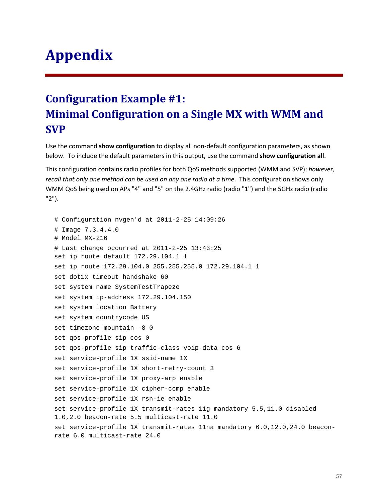## **Appendix**

## **Configuration Example #1: Minimal Configuration on a Single MX with WMM and SVP**

Use the command **show configuration** to display all non-default configuration parameters, as shown below. To include the default parameters in this output, use the command **show configuration all**.

This configuration contains radio profiles for both QoS methods supported (WMM and SVP); *however, recall that only one method can be used on any one radio at a time*. This configuration shows only WMM QoS being used on APs "4" and "5" on the 2.4GHz radio (radio "1") and the 5GHz radio (radio "2").

```
# Configuration nvgen'd at 2011-2-25 14:09:26
# Image 7.3.4.4.0
# Model MX-216
# Last change occurred at 2011-2-25 13:43:25
set ip route default 172.29.104.1 1
set ip route 172.29.104.0 255.255.255.0 172.29.104.1 1
set dot1x timeout handshake 60
set system name SystemTestTrapeze
set system ip-address 172.29.104.150
set system location Battery
set system countrycode US
set timezone mountain -8 0
set qos-profile sip cos 0
set qos-profile sip traffic-class voip-data cos 6 
set service-profile 1X ssid-name 1X
set service-profile 1X short-retry-count 3
set service-profile 1X proxy-arp enable
set service-profile 1X cipher-ccmp enable
set service-profile 1X rsn-ie enable
set service-profile 1X transmit-rates 11g mandatory 5.5,11.0 disabled 
1.0,2.0 beacon-rate 5.5 multicast-rate 11.0
set service-profile 1X transmit-rates 11na mandatory 6.0,12.0,24.0 beacon-
rate 6.0 multicast-rate 24.0
```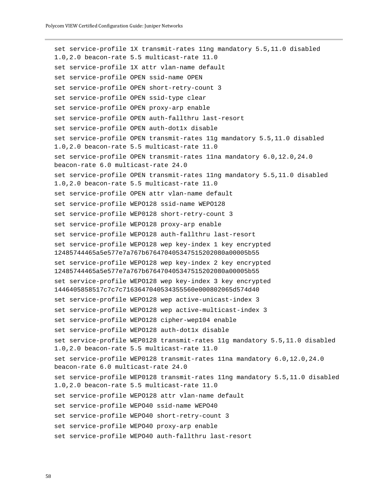```
set service-profile 1X transmit-rates 11ng mandatory 5.5,11.0 disabled 
1.0,2.0 beacon-rate 5.5 multicast-rate 11.0
set service-profile 1X attr vlan-name default
set service-profile OPEN ssid-name OPEN
set service-profile OPEN short-retry-count 3
set service-profile OPEN ssid-type clear
set service-profile OPEN proxy-arp enable
set service-profile OPEN auth-fallthru last-resort
set service-profile OPEN auth-dot1x disable
set service-profile OPEN transmit-rates 11g mandatory 5.5,11.0 disabled 
1.0,2.0 beacon-rate 5.5 multicast-rate 11.0
set service-profile OPEN transmit-rates 11na mandatory 6.0,12.0,24.0 
beacon-rate 6.0 multicast-rate 24.0
set service-profile OPEN transmit-rates 11ng mandatory 5.5,11.0 disabled 
1.0,2.0 beacon-rate 5.5 multicast-rate 11.0
set service-profile OPEN attr vlan-name default
set service-profile WEPO128 ssid-name WEPO128
set service-profile WEP0128 short-retry-count 3
set service-profile WEPO128 proxy-arp enable
set service-profile WEPO128 auth-fallthru last-resort
set service-profile WEPO128 wep key-index 1 key encrypted 
12485744465a5e577e7a767b676470405347515202080a00005b55
set service-profile WEPO128 wep key-index 2 key encrypted 
12485744465a5e577e7a767b676470405347515202080a00005b55
set service-profile WEPO128 wep key-index 3 key encrypted 
1446405858517c7c7c7163647040534355560e000802065d574d40
set service-profile WEPO128 wep active-unicast-index 3
set service-profile WEPO128 wep active-multicast-index 3
set service-profile WEPO128 cipher-wep104 enable
set service-profile WEPO128 auth-dot1x disable
set service-profile WEP0128 transmit-rates 11g mandatory 5.5,11.0 disabled 
1.0,2.0 beacon-rate 5.5 multicast-rate 11.0
set service-profile WEP0128 transmit-rates 11na mandatory 6.0,12.0,24.0 
beacon-rate 6.0 multicast-rate 24.0
set service-profile WEP0128 transmit-rates 11ng mandatory 5.5,11.0 disabled 
1.0,2.0 beacon-rate 5.5 multicast-rate 11.0
set service-profile WEPO128 attr vlan-name default
set service-profile WEPO40 ssid-name WEPO40
set service-profile WEPO40 short-retry-count 3
set service-profile WEPO40 proxy-arp enable
set service-profile WEPO40 auth-fallthru last-resort
```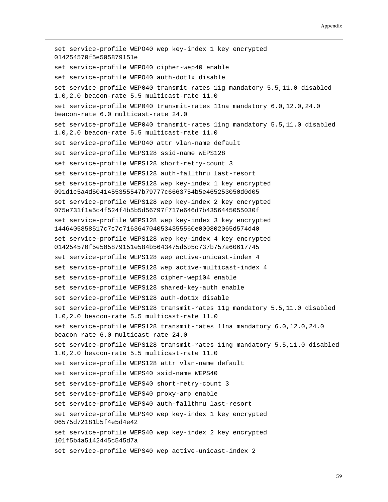```
set service-profile WEPO40 wep key-index 1 key encrypted 
014254570f5e505879151e
set service-profile WEPO40 cipher-wep40 enable
set service-profile WEPO40 auth-dot1x disable
set service-profile WEP040 transmit-rates 11g mandatory 5.5,11.0 disabled 
1.0,2.0 beacon-rate 5.5 multicast-rate 11.0
set service-profile WEP040 transmit-rates 11na mandatory 6.0,12.0,24.0 
beacon-rate 6.0 multicast-rate 24.0
set service-profile WEP040 transmit-rates 11ng mandatory 5.5,11.0 disabled 
1.0,2.0 beacon-rate 5.5 multicast-rate 11.0
set service-profile WEPO40 attr vlan-name default
set service-profile WEPS128 ssid-name WEPS128
set service-profile WEPS128 short-retry-count 3
set service-profile WEPS128 auth-fallthru last-resort
set service-profile WEPS128 wep key-index 1 key encrypted 
091d1c5a4d5041455355547b79777c6663754b5e465253050d0d05
set service-profile WEPS128 wep key-index 2 key encrypted 
075e731f1a5c4f524f4b5b5d56797f717e646d7b4356445055030f
set service-profile WEPS128 wep key-index 3 key encrypted 
1446405858517c7c7c7163647040534355560e000802065d574d40
set service-profile WEPS128 wep key-index 4 key encrypted 
014254570f5e505879151e584b5643475d5b5c737b757a60617745
set service-profile WEPS128 wep active-unicast-index 4
set service-profile WEPS128 wep active-multicast-index 4
set service-profile WEPS128 cipher-wep104 enable
set service-profile WEPS128 shared-key-auth enable
set service-profile WEPS128 auth-dot1x disable
set service-profile WEPS128 transmit-rates 11g mandatory 5.5,11.0 disabled 
1.0,2.0 beacon-rate 5.5 multicast-rate 11.0
set service-profile WEPS128 transmit-rates 11na mandatory 6.0,12.0,24.0 
beacon-rate 6.0 multicast-rate 24.0
set service-profile WEPS128 transmit-rates 11ng mandatory 5.5,11.0 disabled 
1.0,2.0 beacon-rate 5.5 multicast-rate 11.0
set service-profile WEPS128 attr vlan-name default
set service-profile WEPS40 ssid-name WEPS40
set service-profile WEPS40 short-retry-count 3
set service-profile WEPS40 proxy-arp enable
set service-profile WEPS40 auth-fallthru last-resort
set service-profile WEPS40 wep key-index 1 key encrypted 
06575d72181b5f4e5d4e42
set service-profile WEPS40 wep key-index 2 key encrypted 
101f5b4a5142445c545d7a
set service-profile WEPS40 wep active-unicast-index 2
```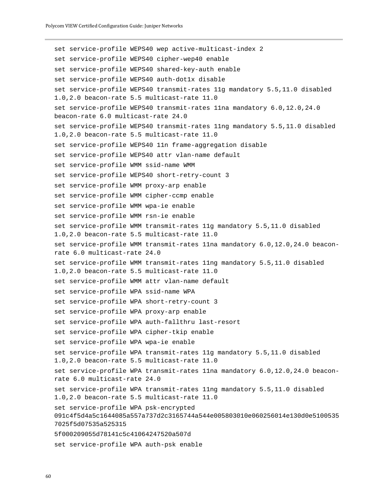```
set service-profile WEPS40 wep active-multicast-index 2
set service-profile WEPS40 cipher-wep40 enable
set service-profile WEPS40 shared-key-auth enable
set service-profile WEPS40 auth-dot1x disable
set service-profile WEPS40 transmit-rates 11g mandatory 5.5,11.0 disabled 
1.0,2.0 beacon-rate 5.5 multicast-rate 11.0
set service-profile WEPS40 transmit-rates 11na mandatory 6.0,12.0,24.0 
beacon-rate 6.0 multicast-rate 24.0
set service-profile WEPS40 transmit-rates 11ng mandatory 5.5,11.0 disabled 
1.0,2.0 beacon-rate 5.5 multicast-rate 11.0
set service-profile WEPS40 11n frame-aggregation disable
set service-profile WEPS40 attr vlan-name default
set service-profile WMM ssid-name WMM
set service-profile WEPS40 short-retry-count 3
set service-profile WMM proxy-arp enable
set service-profile WMM cipher-ccmp enable
set service-profile WMM wpa-ie enable
set service-profile WMM rsn-ie enable
set service-profile WMM transmit-rates 11g mandatory 5.5,11.0 disabled 
1.0,2.0 beacon-rate 5.5 multicast-rate 11.0
set service-profile WMM transmit-rates 11na mandatory 6.0,12.0,24.0 beacon-
rate 6.0 multicast-rate 24.0
set service-profile WMM transmit-rates 11ng mandatory 5.5,11.0 disabled 
1.0,2.0 beacon-rate 5.5 multicast-rate 11.0
set service-profile WMM attr vlan-name default
set service-profile WPA ssid-name WPA
set service-profile WPA short-retry-count 3
set service-profile WPA proxy-arp enable
set service-profile WPA auth-fallthru last-resort
set service-profile WPA cipher-tkip enable
set service-profile WPA wpa-ie enable
set service-profile WPA transmit-rates 11g mandatory 5.5,11.0 disabled 
1.0,2.0 beacon-rate 5.5 multicast-rate 11.0
set service-profile WPA transmit-rates 11na mandatory 6.0,12.0,24.0 beacon-
rate 6.0 multicast-rate 24.0
set service-profile WPA transmit-rates 11ng mandatory 5.5,11.0 disabled 
1.0,2.0 beacon-rate 5.5 multicast-rate 11.0
set service-profile WPA psk-encrypted 
091c4f5d4a5c1644085a557a737d2c3165744a544e005803010e060256014e130d0e5100535
7025f5d07535a525315
5f000209055d78141c5c41064247520a507d
set service-profile WPA auth-psk enable
```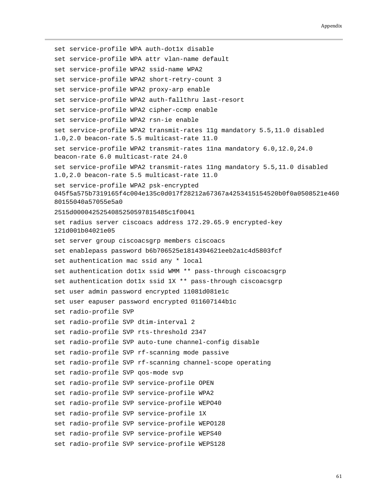```
set service-profile WPA auth-dot1x disable
set service-profile WPA attr vlan-name default
set service-profile WPA2 ssid-name WPA2
set service-profile WPA2 short-retry-count 3
set service-profile WPA2 proxy-arp enable
set service-profile WPA2 auth-fallthru last-resort
set service-profile WPA2 cipher-ccmp enable
set service-profile WPA2 rsn-ie enable
set service-profile WPA2 transmit-rates 11g mandatory 5.5,11.0 disabled 
1.0,2.0 beacon-rate 5.5 multicast-rate 11.0
set service-profile WPA2 transmit-rates 11na mandatory 6.0,12.0,24.0 
beacon-rate 6.0 multicast-rate 24.0
set service-profile WPA2 transmit-rates 11ng mandatory 5.5,11.0 disabled 
1.0,2.0 beacon-rate 5.5 multicast-rate 11.0
set service-profile WPA2 psk-encrypted 
045f5a575b7319165f4c004e135c0d017f28212a67367a4253415154520b0f0a0508521e460
80155040a57055e5a0
2515d0000425254085250597815485c1f0041
set radius server ciscoacs address 172.29.65.9 encrypted-key 
121d001b04021e05
set server group ciscoacsgrp members ciscoacs
set enablepass password b6b706525e1814394621eeb2a1c4d5803fcf
set authentication mac ssid any * local
set authentication dot1x ssid WMM ** pass-through ciscoacsgrp
set authentication dot1x ssid 1X ** pass-through ciscoacsgrp
set user admin password encrypted 11081d081e1c
set user eapuser password encrypted 011607144b1c
set radio-profile SVP
set radio-profile SVP dtim-interval 2
set radio-profile SVP rts-threshold 2347
set radio-profile SVP auto-tune channel-config disable
set radio-profile SVP rf-scanning mode passive
set radio-profile SVP rf-scanning channel-scope operating
set radio-profile SVP qos-mode svp
set radio-profile SVP service-profile OPEN
set radio-profile SVP service-profile WPA2
set radio-profile SVP service-profile WEPO40
set radio-profile SVP service-profile 1X
set radio-profile SVP service-profile WEPO128
set radio-profile SVP service-profile WEPS40
set radio-profile SVP service-profile WEPS128
```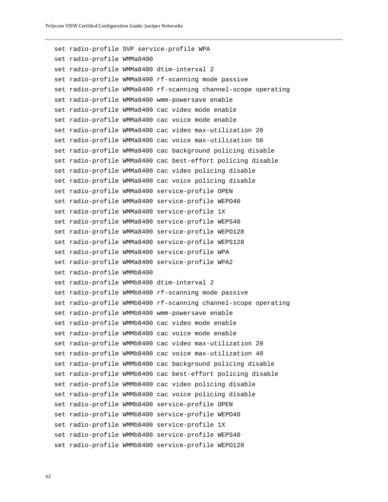set radio-profile SVP service-profile WPA set radio-profile WMMa8400 set radio-profile WMMa8400 dtim-interval 2 set radio-profile WMMa8400 rf-scanning mode passive set radio-profile WMMa8400 rf-scanning channel-scope operating set radio-profile WMMa8400 wmm-powersave enable set radio-profile WMMa8400 cac video mode enable set radio-profile WMMa8400 cac voice mode enable set radio-profile WMMa8400 cac video max-utilization 20 set radio-profile WMMa8400 cac voice max-utilization 50 set radio-profile WMMa8400 cac background policing disable set radio-profile WMMa8400 cac best-effort policing disable set radio-profile WMMa8400 cac video policing disable set radio-profile WMMa8400 cac voice policing disable set radio-profile WMMa8400 service-profile OPEN set radio-profile WMMa8400 service-profile WEPO40 set radio-profile WMMa8400 service-profile 1X set radio-profile WMMa8400 service-profile WEPS40 set radio-profile WMMa8400 service-profile WEPO128 set radio-profile WMMa8400 service-profile WEPS128 set radio-profile WMMa8400 service-profile WPA set radio-profile WMMa8400 service-profile WPA2 set radio-profile WMMb8400 set radio-profile WMMb8400 dtim-interval 2 set radio-profile WMMb8400 rf-scanning mode passive set radio-profile WMMb8400 rf-scanning channel-scope operating set radio-profile WMMb8400 wmm-powersave enable set radio-profile WMMb8400 cac video mode enable set radio-profile WMMb8400 cac voice mode enable set radio-profile WMMb8400 cac video max-utilization 20 set radio-profile WMMb8400 cac voice max-utilization 40 set radio-profile WMMb8400 cac background policing disable set radio-profile WMMb8400 cac best-effort policing disable set radio-profile WMMb8400 cac video policing disable set radio-profile WMMb8400 cac voice policing disable set radio-profile WMMb8400 service-profile OPEN set radio-profile WMMb8400 service-profile WEPO40 set radio-profile WMMb8400 service-profile 1X set radio-profile WMMb8400 service-profile WEPS40 set radio-profile WMMb8400 service-profile WEPO128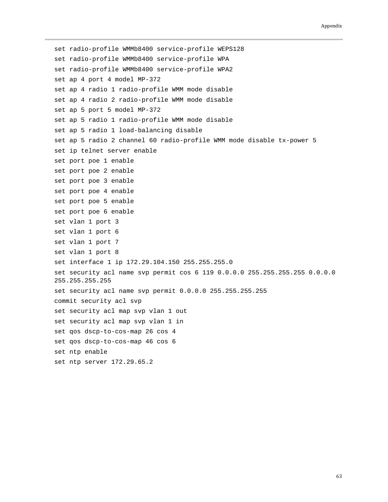set radio-profile WMMb8400 service-profile WEPS128 set radio-profile WMMb8400 service-profile WPA set radio-profile WMMb8400 service-profile WPA2 set ap 4 port 4 model MP-372 set ap 4 radio 1 radio-profile WMM mode disable set ap 4 radio 2 radio-profile WMM mode disable set ap 5 port 5 model MP-372 set ap 5 radio 1 radio-profile WMM mode disable set ap 5 radio 1 load-balancing disable set ap 5 radio 2 channel 60 radio-profile WMM mode disable tx-power 5 set ip telnet server enable set port poe 1 enable set port poe 2 enable set port poe 3 enable set port poe 4 enable set port poe 5 enable set port poe 6 enable set vlan 1 port 3 set vlan 1 port 6 set vlan 1 port 7 set vlan 1 port 8 set interface 1 ip 172.29.104.150 255.255.255.0 set security acl name svp permit cos 6 119 0.0.0.0 255.255.255.255 0.0.0.0 255.255.255.255 set security acl name svp permit 0.0.0.0 255.255.255.255 commit security acl svp set security acl map svp vlan 1 out set security acl map svp vlan 1 in set qos dscp-to-cos-map 26 cos 4 set qos dscp-to-cos-map 46 cos 6 set ntp enable set ntp server 172.29.65.2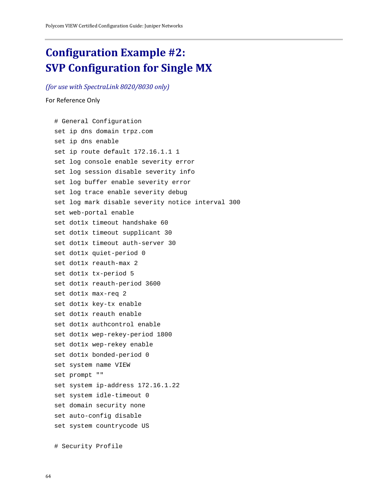### **Configuration Example #2: SVP Configuration for Single MX**

#### *(for use with SpectraLink 8020/8030 only)*

#### For Reference Only

# General Configuration set ip dns domain trpz.com set ip dns enable set ip route default 172.16.1.1 1 set log console enable severity error set log session disable severity info set log buffer enable severity error set log trace enable severity debug set log mark disable severity notice interval 300 set web-portal enable set dot1x timeout handshake 60 set dot1x timeout supplicant 30 set dot1x timeout auth-server 30 set dot1x quiet-period 0 set dot1x reauth-max 2 set dot1x tx-period 5 set dot1x reauth-period 3600 set dot1x max-req 2 set dot1x key-tx enable set dot1x reauth enable set dot1x authcontrol enable set dot1x wep-rekey-period 1800 set dot1x wep-rekey enable set dot1x bonded-period 0 set system name VIEW set prompt "" set system ip-address 172.16.1.22 set system idle-timeout 0 set domain security none set auto-config disable set system countrycode US

# Security Profile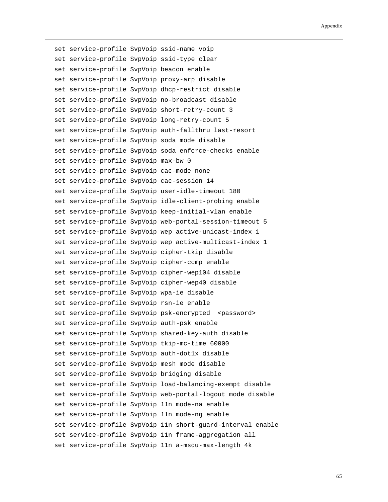set service-profile SvpVoip ssid-name voip set service-profile SvpVoip ssid-type clear set service-profile SvpVoip beacon enable set service-profile SvpVoip proxy-arp disable set service-profile SvpVoip dhcp-restrict disable set service-profile SvpVoip no-broadcast disable set service-profile SvpVoip short-retry-count 3 set service-profile SvpVoip long-retry-count 5 set service-profile SvpVoip auth-fallthru last-resort set service-profile SvpVoip soda mode disable set service-profile SvpVoip soda enforce-checks enable set service-profile SvpVoip max-bw 0 set service-profile SvpVoip cac-mode none set service-profile SvpVoip cac-session 14 set service-profile SvpVoip user-idle-timeout 180 set service-profile SvpVoip idle-client-probing enable set service-profile SvpVoip keep-initial-vlan enable set service-profile SvpVoip web-portal-session-timeout 5 set service-profile SvpVoip wep active-unicast-index 1 set service-profile SvpVoip wep active-multicast-index 1 set service-profile SvpVoip cipher-tkip disable set service-profile SvpVoip cipher-ccmp enable set service-profile SvpVoip cipher-wep104 disable set service-profile SvpVoip cipher-wep40 disable set service-profile SvpVoip wpa-ie disable set service-profile SvpVoip rsn-ie enable set service-profile SvpVoip psk-encrypted <password> set service-profile SvpVoip auth-psk enable set service-profile SvpVoip shared-key-auth disable set service-profile SvpVoip tkip-mc-time 60000 set service-profile SvpVoip auth-dot1x disable set service-profile SvpVoip mesh mode disable set service-profile SvpVoip bridging disable set service-profile SvpVoip load-balancing-exempt disable set service-profile SvpVoip web-portal-logout mode disable set service-profile SvpVoip 11n mode-na enable set service-profile SvpVoip 11n mode-ng enable set service-profile SvpVoip 11n short-guard-interval enable set service-profile SvpVoip 11n frame-aggregation all set service-profile SvpVoip 11n a-msdu-max-length 4k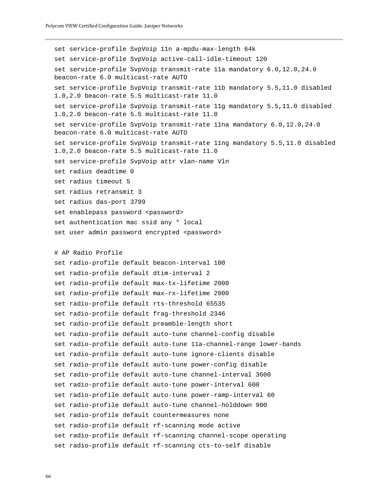Polycom VIEW Certified Configuration Guide: Juniper Networks

```
set service-profile SvpVoip 11n a-mpdu-max-length 64k
set service-profile SvpVoip active-call-idle-timeout 120
set service-profile SvpVoip transmit-rate 11a mandatory 6.0,12.0,24.0 
beacon-rate 6.0 multicast-rate AUTO
set service-profile SvpVoip transmit-rate 11b mandatory 5.5,11.0 disabled 
1.0,2.0 beacon-rate 5.5 multicast-rate 11.0
set service-profile SvpVoip transmit-rate 11g mandatory 5.5,11.0 disabled 
1.0,2.0 beacon-rate 5.5 multicast-rate 11.0
set service-profile SvpVoip transmit-rate 11na mandatory 6.0,12.0,24.0 
beacon-rate 6.0 multicast-rate AUTO
set service-profile SvpVoip transmit-rate 11ng mandatory 5.5,11.0 disabled 
1.0,2.0 beacon-rate 5.5 multicast-rate 11.0
set service-profile SvpVoip attr vlan-name Vln
set radius deadtime 0
set radius timeout 5
set radius retransmit 3
set radius das-port 3799
set enablepass password <password>
set authentication mac ssid any * local
set user admin password encrypted <password>
# AP Radio Profile
set radio-profile default beacon-interval 100
set radio-profile default dtim-interval 2
set radio-profile default max-tx-lifetime 2000
set radio-profile default max-rx-lifetime 2000
set radio-profile default rts-threshold 65535
set radio-profile default frag-threshold 2346
set radio-profile default preamble-length short
set radio-profile default auto-tune channel-config disable
set radio-profile default auto-tune 11a-channel-range lower-bands
set radio-profile default auto-tune ignore-clients disable
set radio-profile default auto-tune power-config disable
set radio-profile default auto-tune channel-interval 3600
set radio-profile default auto-tune power-interval 600
set radio-profile default auto-tune power-ramp-interval 60
set radio-profile default auto-tune channel-holddown 900
set radio-profile default countermeasures none
set radio-profile default rf-scanning mode active
set radio-profile default rf-scanning channel-scope operating
```

```
set radio-profile default rf-scanning cts-to-self disable
```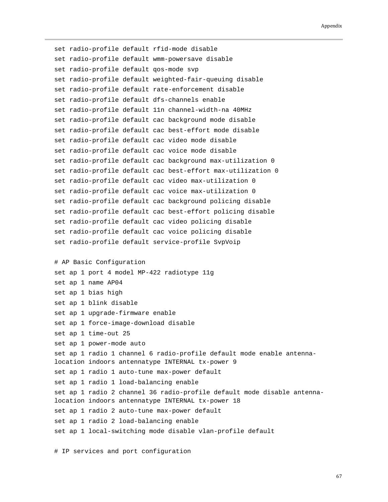```
set radio-profile default rfid-mode disable
set radio-profile default wmm-powersave disable
set radio-profile default qos-mode svp
set radio-profile default weighted-fair-queuing disable
set radio-profile default rate-enforcement disable
set radio-profile default dfs-channels enable
set radio-profile default 11n channel-width-na 40MHz
set radio-profile default cac background mode disable
set radio-profile default cac best-effort mode disable
set radio-profile default cac video mode disable
set radio-profile default cac voice mode disable
set radio-profile default cac background max-utilization 0
set radio-profile default cac best-effort max-utilization 0
set radio-profile default cac video max-utilization 0
set radio-profile default cac voice max-utilization 0
set radio-profile default cac background policing disable
set radio-profile default cac best-effort policing disable
set radio-profile default cac video policing disable
set radio-profile default cac voice policing disable
set radio-profile default service-profile SvpVoip
# AP Basic Configuration
set ap 1 port 4 model MP-422 radiotype 11g
set ap 1 name AP04
set ap 1 bias high
set ap 1 blink disable
set ap 1 upgrade-firmware enable
set ap 1 force-image-download disable
set ap 1 time-out 25
set ap 1 power-mode auto
set ap 1 radio 1 channel 6 radio-profile default mode enable antenna-
location indoors antennatype INTERNAL tx-power 9
set ap 1 radio 1 auto-tune max-power default
set ap 1 radio 1 load-balancing enable
set ap 1 radio 2 channel 36 radio-profile default mode disable antenna-
location indoors antennatype INTERNAL tx-power 18
set ap 1 radio 2 auto-tune max-power default
set ap 1 radio 2 load-balancing enable
set ap 1 local-switching mode disable vlan-profile default
```
# IP services and port configuration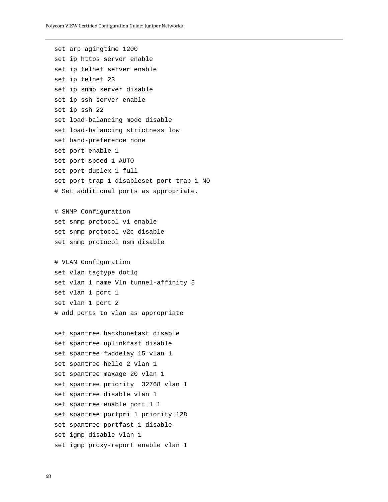```
set arp agingtime 1200
set ip https server enable
set ip telnet server enable
set ip telnet 23
set ip snmp server disable
set ip ssh server enable
set ip ssh 22
set load-balancing mode disable
set load-balancing strictness low
set band-preference none
set port enable 1
set port speed 1 AUTO
set port duplex 1 full
set port trap 1 disableset port trap 1 NO 
# Set additional ports as appropriate.
# SNMP Configuration 
set snmp protocol v1 enable
set snmp protocol v2c disable
set snmp protocol usm disable
# VLAN Configuration
set vlan tagtype dot1q
set vlan 1 name Vln tunnel-affinity 5
set vlan 1 port 1
set vlan 1 port 2
# add ports to vlan as appropriate
set spantree backbonefast disable
set spantree uplinkfast disable
set spantree fwddelay 15 vlan 1
set spantree hello 2 vlan 1
set spantree maxage 20 vlan 1
set spantree priority 32768 vlan 1
set spantree disable vlan 1
set spantree enable port 1 1
set spantree portpri 1 priority 128
set spantree portfast 1 disable
set igmp disable vlan 1
set igmp proxy-report enable vlan 1
```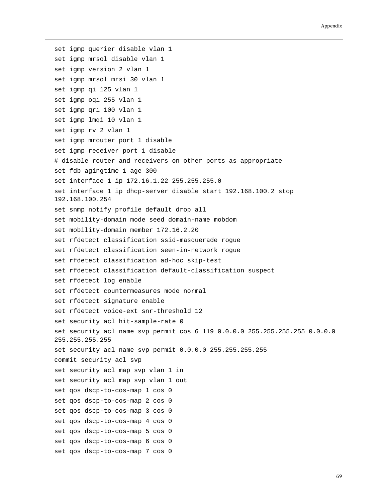#### Appendix

set igmp querier disable vlan 1 set igmp mrsol disable vlan 1 set igmp version 2 vlan 1 set igmp mrsol mrsi 30 vlan 1 set igmp qi 125 vlan 1 set igmp oqi 255 vlan 1 set igmp qri 100 vlan 1 set igmp lmqi 10 vlan 1 set igmp rv 2 vlan 1 set igmp mrouter port 1 disable set igmp receiver port 1 disable # disable router and receivers on other ports as appropriate set fdb agingtime 1 age 300 set interface 1 ip 172.16.1.22 255.255.255.0 set interface 1 ip dhcp-server disable start 192.168.100.2 stop 192.168.100.254 set snmp notify profile default drop all set mobility-domain mode seed domain-name mobdom set mobility-domain member 172.16.2.20 set rfdetect classification ssid-masquerade rogue set rfdetect classification seen-in-network rogue set rfdetect classification ad-hoc skip-test set rfdetect classification default-classification suspect set rfdetect log enable set rfdetect countermeasures mode normal set rfdetect signature enable set rfdetect voice-ext snr-threshold 12 set security acl hit-sample-rate 0 set security acl name svp permit cos 6 119 0.0.0.0 255.255.255.255 0.0.0.0 255.255.255.255 set security acl name svp permit 0.0.0.0 255.255.255.255 commit security acl svp set security acl map svp vlan 1 in set security acl map svp vlan 1 out set qos dscp-to-cos-map 1 cos 0 set qos dscp-to-cos-map 2 cos 0 set qos dscp-to-cos-map 3 cos 0 set qos dscp-to-cos-map 4 cos 0 set qos dscp-to-cos-map 5 cos 0 set qos dscp-to-cos-map 6 cos 0 set qos dscp-to-cos-map 7 cos 0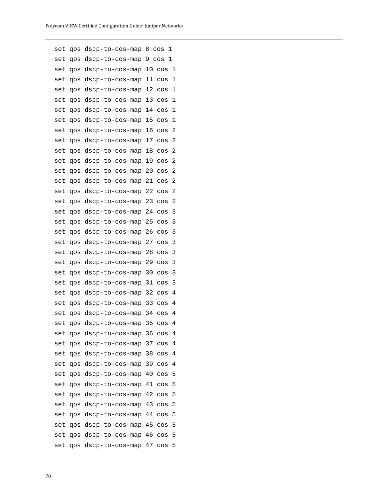set qos dscp-to-cos-map 8 cos 1 set qos dscp-to-cos-map 9 cos 1 set qos dscp-to-cos-map 10 cos 1 set qos dscp-to-cos-map 11 cos 1 set qos dscp-to-cos-map 12 cos 1 set qos dscp-to-cos-map 13 cos 1 set qos dscp-to-cos-map 14 cos 1 set qos dscp-to-cos-map 15 cos 1 set qos dscp-to-cos-map 16 cos 2 set qos dscp-to-cos-map 17 cos 2 set qos dscp-to-cos-map 18 cos 2 set qos dscp-to-cos-map 19 cos 2 set qos dscp-to-cos-map 20 cos 2 set qos dscp-to-cos-map 21 cos 2 set qos dscp-to-cos-map 22 cos 2 set qos dscp-to-cos-map 23 cos 2 set qos dscp-to-cos-map 24 cos 3 set qos dscp-to-cos-map 25 cos 3 set qos dscp-to-cos-map 26 cos 3 set qos dscp-to-cos-map 27 cos 3 set qos dscp-to-cos-map 28 cos 3 set qos dscp-to-cos-map 29 cos 3 set qos dscp-to-cos-map 30 cos 3 set qos dscp-to-cos-map 31 cos 3 set qos dscp-to-cos-map 32 cos 4 set qos dscp-to-cos-map 33 cos 4 set qos dscp-to-cos-map 34 cos 4 set qos dscp-to-cos-map 35 cos 4 set qos dscp-to-cos-map 36 cos 4 set qos dscp-to-cos-map 37 cos 4 set qos dscp-to-cos-map 38 cos 4 set qos dscp-to-cos-map 39 cos 4 set qos dscp-to-cos-map 40 cos 5 set qos dscp-to-cos-map 41 cos 5 set qos dscp-to-cos-map 42 cos 5 set qos dscp-to-cos-map 43 cos 5 set qos dscp-to-cos-map 44 cos 5 set qos dscp-to-cos-map 45 cos 5 set qos dscp-to-cos-map 46 cos 5 set qos dscp-to-cos-map 47 cos 5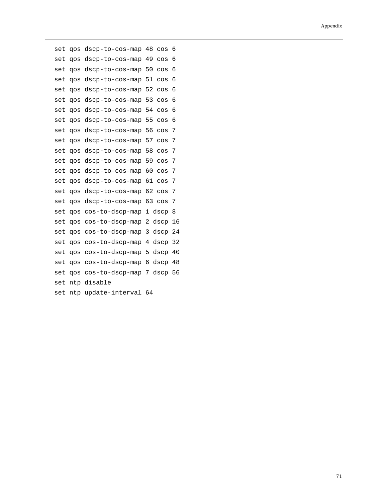```
set qos dscp-to-cos-map 48 cos 6
set qos dscp-to-cos-map 49 cos 6
set qos dscp-to-cos-map 50 cos 6
set qos dscp-to-cos-map 51 cos 6
set qos dscp-to-cos-map 52 cos 6
set qos dscp-to-cos-map 53 cos 6
set qos dscp-to-cos-map 54 cos 6
set qos dscp-to-cos-map 55 cos 6
set qos dscp-to-cos-map 56 cos 7
set qos dscp-to-cos-map 57 cos 7
set qos dscp-to-cos-map 58 cos 7
set qos dscp-to-cos-map 59 cos 7
set qos dscp-to-cos-map 60 cos 7
set qos dscp-to-cos-map 61 cos 7
set qos dscp-to-cos-map 62 cos 7
set qos dscp-to-cos-map 63 cos 7
set qos cos-to-dscp-map 1 dscp 8
set qos cos-to-dscp-map 2 dscp 16
set qos cos-to-dscp-map 3 dscp 24
set qos cos-to-dscp-map 4 dscp 32
set qos cos-to-dscp-map 5 dscp 40
set qos cos-to-dscp-map 6 dscp 48
set qos cos-to-dscp-map 7 dscp 56
set ntp disable
set ntp update-interval 64
```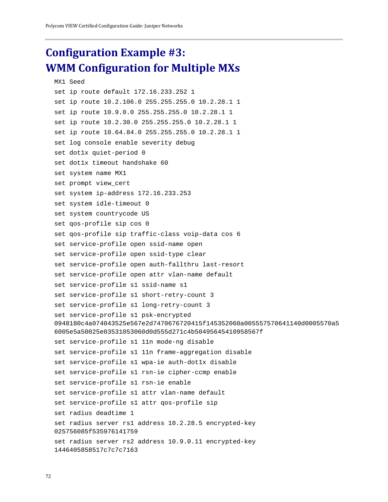### **Configuration Example #3: WMM Configuration for Multiple MXs**

```
MX1 Seed
set ip route default 172.16.233.252 1
set ip route 10.2.106.0 255.255.255.0 10.2.28.1 1
set ip route 10.9.0.0 255.255.255.0 10.2.28.1 1
set ip route 10.2.30.0 255.255.255.0 10.2.28.1 1
set ip route 10.64.84.0 255.255.255.0 10.2.28.1 1
set log console enable severity debug
set dot1x quiet-period 0
set dot1x timeout handshake 60
set system name MX1
set prompt view_cert
set system ip-address 172.16.233.253
set system idle-timeout 0
set system countrycode US
set qos-profile sip cos 0
set qos-profile sip traffic-class voip-data cos 6
set service-profile open ssid-name open
set service-profile open ssid-type clear
set service-profile open auth-fallthru last-resort
set service-profile open attr vlan-name default
set service-profile s1 ssid-name s1
set service-profile s1 short-retry-count 3
set service-profile s1 long-retry-count 3
set service-profile s1 psk-encrypted 
0948180c4a074043525e567e2d7470676720415f145352060a005557570641140d0005570a5
6005e5a50025e03531053060d0d555d271c4b50495645410958567f
set service-profile s1 11n mode-ng disable
set service-profile s1 11n frame-aggregation disable
set service-profile s1 wpa-ie auth-dot1x disable
set service-profile s1 rsn-ie cipher-ccmp enable
set service-profile s1 rsn-ie enable
set service-profile s1 attr vlan-name default
set service-profile s1 attr qos-profile sip
set radius deadtime 1
set radius server rs1 address 10.2.28.5 encrypted-key 
025756085f535976141759
set radius server rs2 address 10.9.0.11 encrypted-key 
1446405858517c7c7c7163
```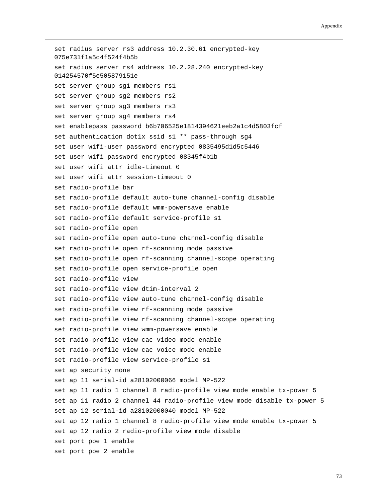set radius server rs3 address 10.2.30.61 encrypted-key 075e731f1a5c4f524f4b5b set radius server rs4 address 10.2.28.240 encrypted-key 014254570f5e505879151e set server group sg1 members rs1 set server group sg2 members rs2 set server group sg3 members rs3 set server group sg4 members rs4 set enablepass password b6b706525e1814394621eeb2a1c4d5803fcf set authentication dot1x ssid s1 \*\* pass-through sg4 set user wifi-user password encrypted 0835495d1d5c5446 set user wifi password encrypted 08345f4b1b set user wifi attr idle-timeout 0 set user wifi attr session-timeout 0 set radio-profile bar set radio-profile default auto-tune channel-config disable set radio-profile default wmm-powersave enable set radio-profile default service-profile s1 set radio-profile open set radio-profile open auto-tune channel-config disable set radio-profile open rf-scanning mode passive set radio-profile open rf-scanning channel-scope operating set radio-profile open service-profile open set radio-profile view set radio-profile view dtim-interval 2 set radio-profile view auto-tune channel-config disable set radio-profile view rf-scanning mode passive set radio-profile view rf-scanning channel-scope operating set radio-profile view wmm-powersave enable set radio-profile view cac video mode enable set radio-profile view cac voice mode enable set radio-profile view service-profile s1 set ap security none set ap 11 serial-id a28102000066 model MP-522 set ap 11 radio 1 channel 8 radio-profile view mode enable tx-power 5 set ap 11 radio 2 channel 44 radio-profile view mode disable tx-power 5 set ap 12 serial-id a28102000040 model MP-522 set ap 12 radio 1 channel 8 radio-profile view mode enable tx-power 5 set ap 12 radio 2 radio-profile view mode disable set port poe 1 enable set port poe 2 enable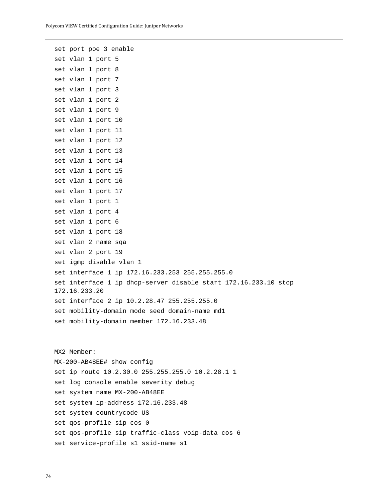set port poe 3 enable set vlan 1 port 5 set vlan 1 port 8 set vlan 1 port 7 set vlan 1 port 3 set vlan 1 port 2 set vlan 1 port 9 set vlan 1 port 10 set vlan 1 port 11 set vlan 1 port 12 set vlan 1 port 13 set vlan 1 port 14 set vlan 1 port 15 set vlan 1 port 16 set vlan 1 port 17 set vlan 1 port 1 set vlan 1 port 4 set vlan 1 port 6 set vlan 1 port 18 set vlan 2 name sqa set vlan 2 port 19 set igmp disable vlan 1 set interface 1 ip 172.16.233.253 255.255.255.0 set interface 1 ip dhcp-server disable start 172.16.233.10 stop 172.16.233.20 set interface 2 ip 10.2.28.47 255.255.255.0 set mobility-domain mode seed domain-name md1 set mobility-domain member 172.16.233.48 MX2 Member:

MX-200-AB48EE# show config set ip route 10.2.30.0 255.255.255.0 10.2.28.1 1 set log console enable severity debug set system name MX-200-AB48EE set system ip-address 172.16.233.48 set system countrycode US set qos-profile sip cos 0 set qos-profile sip traffic-class voip-data cos 6 set service-profile s1 ssid-name s1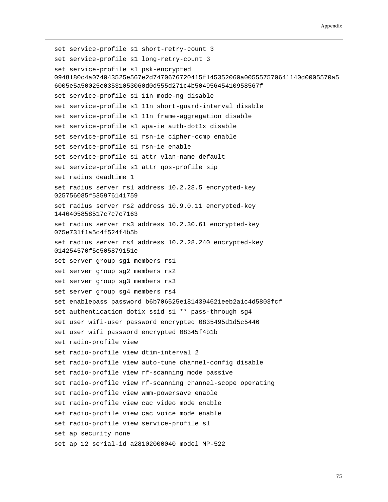```
set service-profile s1 short-retry-count 3
set service-profile s1 long-retry-count 3
set service-profile s1 psk-encrypted 
0948180c4a074043525e567e2d7470676720415f145352060a005557570641140d0005570a5
6005e5a50025e03531053060d0d555d271c4b50495645410958567f
set service-profile s1 11n mode-ng disable
set service-profile s1 11n short-guard-interval disable
set service-profile s1 11n frame-aggregation disable
set service-profile s1 wpa-ie auth-dot1x disable
set service-profile s1 rsn-ie cipher-ccmp enable
set service-profile s1 rsn-ie enable
set service-profile s1 attr vlan-name default
set service-profile s1 attr qos-profile sip
set radius deadtime 1
set radius server rs1 address 10.2.28.5 encrypted-key 
025756085f535976141759
set radius server rs2 address 10.9.0.11 encrypted-key 
1446405858517c7c7c7163
set radius server rs3 address 10.2.30.61 encrypted-key 
075e731f1a5c4f524f4b5b
set radius server rs4 address 10.2.28.240 encrypted-key 
014254570f5e505879151e
set server group sg1 members rs1
set server group sg2 members rs2
set server group sg3 members rs3
set server group sg4 members rs4
set enablepass password b6b706525e1814394621eeb2a1c4d5803fcf
set authentication dot1x ssid s1 ** pass-through sg4
set user wifi-user password encrypted 0835495d1d5c5446
set user wifi password encrypted 08345f4b1b
set radio-profile view
set radio-profile view dtim-interval 2
set radio-profile view auto-tune channel-config disable
set radio-profile view rf-scanning mode passive
set radio-profile view rf-scanning channel-scope operating
set radio-profile view wmm-powersave enable
set radio-profile view cac video mode enable
set radio-profile view cac voice mode enable
set radio-profile view service-profile s1
set ap security none
set ap 12 serial-id a28102000040 model MP-522
```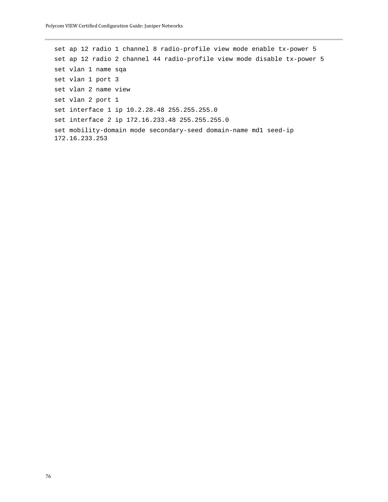set ap 12 radio 1 channel 8 radio-profile view mode enable tx-power 5 set ap 12 radio 2 channel 44 radio-profile view mode disable tx-power 5 set vlan 1 name sqa set vlan 1 port 3 set vlan 2 name view set vlan 2 port 1 set interface 1 ip 10.2.28.48 255.255.255.0 set interface 2 ip 172.16.233.48 255.255.255.0 set mobility-domain mode secondary-seed domain-name md1 seed-ip 172.16.233.253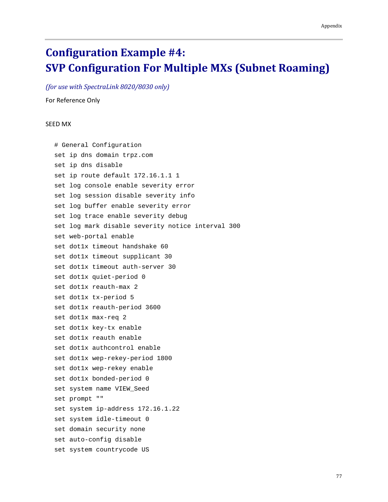## **Configuration Example #4: SVP Configuration For Multiple MXs (Subnet Roaming)**

*(for use with SpectraLink 8020/8030 only)*

For Reference Only

## SEED MX

# General Configuration set ip dns domain trpz.com set ip dns disable set ip route default 172.16.1.1 1 set log console enable severity error set log session disable severity info set log buffer enable severity error set log trace enable severity debug set log mark disable severity notice interval 300 set web-portal enable set dot1x timeout handshake 60 set dot1x timeout supplicant 30 set dot1x timeout auth-server 30 set dot1x quiet-period 0 set dot1x reauth-max 2 set dot1x tx-period 5 set dot1x reauth-period 3600 set dot1x max-req 2 set dot1x key-tx enable set dot1x reauth enable set dot1x authcontrol enable set dot1x wep-rekey-period 1800 set dot1x wep-rekey enable set dot1x bonded-period 0 set system name VIEW\_Seed set prompt "" set system ip-address 172.16.1.22 set system idle-timeout 0 set domain security none set auto-config disable set system countrycode US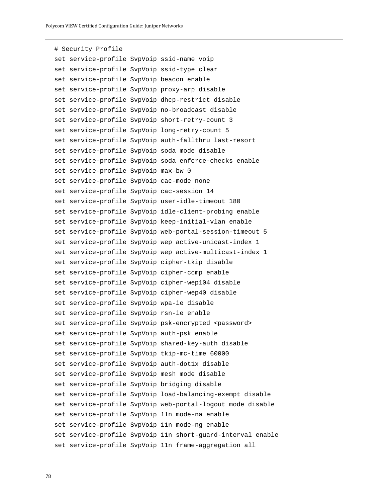```
# Security Profile
set service-profile SvpVoip ssid-name voip
set service-profile SvpVoip ssid-type clear
set service-profile SvpVoip beacon enable
set service-profile SvpVoip proxy-arp disable
set service-profile SvpVoip dhcp-restrict disable
set service-profile SvpVoip no-broadcast disable
set service-profile SvpVoip short-retry-count 3
set service-profile SvpVoip long-retry-count 5
set service-profile SvpVoip auth-fallthru last-resort
set service-profile SvpVoip soda mode disable
set service-profile SvpVoip soda enforce-checks enable
set service-profile SvpVoip max-bw 0
set service-profile SvpVoip cac-mode none
set service-profile SvpVoip cac-session 14
set service-profile SvpVoip user-idle-timeout 180
set service-profile SvpVoip idle-client-probing enable
set service-profile SvpVoip keep-initial-vlan enable
set service-profile SvpVoip web-portal-session-timeout 5
set service-profile SvpVoip wep active-unicast-index 1
set service-profile SvpVoip wep active-multicast-index 1
set service-profile SvpVoip cipher-tkip disable
set service-profile SvpVoip cipher-ccmp enable
set service-profile SvpVoip cipher-wep104 disable
set service-profile SvpVoip cipher-wep40 disable
set service-profile SvpVoip wpa-ie disable
set service-profile SvpVoip rsn-ie enable
set service-profile SvpVoip psk-encrypted <password>
set service-profile SvpVoip auth-psk enable
set service-profile SvpVoip shared-key-auth disable
set service-profile SvpVoip tkip-mc-time 60000
set service-profile SvpVoip auth-dot1x disable
set service-profile SvpVoip mesh mode disable
set service-profile SvpVoip bridging disable
set service-profile SvpVoip load-balancing-exempt disable
set service-profile SvpVoip web-portal-logout mode disable
set service-profile SvpVoip 11n mode-na enable
set service-profile SvpVoip 11n mode-ng enable
set service-profile SvpVoip 11n short-guard-interval enable
set service-profile SvpVoip 11n frame-aggregation all
```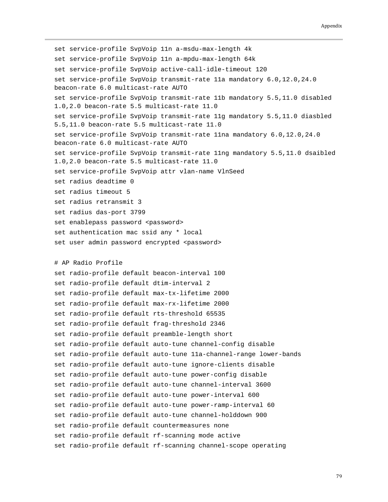```
set service-profile SvpVoip 11n a-msdu-max-length 4k
set service-profile SvpVoip 11n a-mpdu-max-length 64k
set service-profile SvpVoip active-call-idle-timeout 120
set service-profile SvpVoip transmit-rate 11a mandatory 6.0,12.0,24.0 
beacon-rate 6.0 multicast-rate AUTO
set service-profile SvpVoip transmit-rate 11b mandatory 5.5,11.0 disabled 
1.0,2.0 beacon-rate 5.5 multicast-rate 11.0
set service-profile SvpVoip transmit-rate 11g mandatory 5.5,11.0 diasbled 
5.5,11.0 beacon-rate 5.5 multicast-rate 11.0
set service-profile SvpVoip transmit-rate 11na mandatory 6.0,12.0,24.0 
beacon-rate 6.0 multicast-rate AUTO
set service-profile SvpVoip transmit-rate 11ng mandatory 5.5,11.0 dsaibled 
1.0,2.0 beacon-rate 5.5 multicast-rate 11.0
set service-profile SvpVoip attr vlan-name VlnSeed
set radius deadtime 0
set radius timeout 5
set radius retransmit 3
set radius das-port 3799
set enablepass password <password>
set authentication mac ssid any * local
set user admin password encrypted <password>
# AP Radio Profile
set radio-profile default beacon-interval 100
set radio-profile default dtim-interval 2
set radio-profile default max-tx-lifetime 2000
set radio-profile default max-rx-lifetime 2000
set radio-profile default rts-threshold 65535
set radio-profile default frag-threshold 2346
set radio-profile default preamble-length short
set radio-profile default auto-tune channel-config disable
set radio-profile default auto-tune 11a-channel-range lower-bands
set radio-profile default auto-tune ignore-clients disable
set radio-profile default auto-tune power-config disable
set radio-profile default auto-tune channel-interval 3600
set radio-profile default auto-tune power-interval 600
set radio-profile default auto-tune power-ramp-interval 60
set radio-profile default auto-tune channel-holddown 900
set radio-profile default countermeasures none
set radio-profile default rf-scanning mode active
set radio-profile default rf-scanning channel-scope operating
```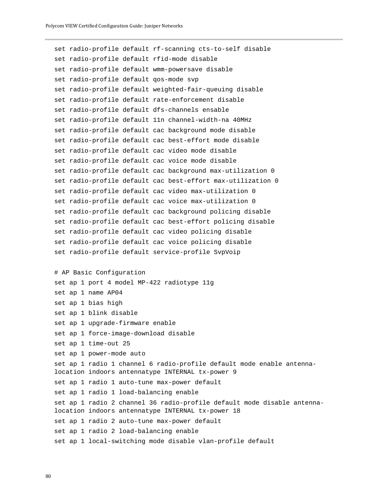```
set radio-profile default rf-scanning cts-to-self disable
set radio-profile default rfid-mode disable
set radio-profile default wmm-powersave disable
set radio-profile default qos-mode svp
set radio-profile default weighted-fair-queuing disable
set radio-profile default rate-enforcement disable
set radio-profile default dfs-channels ensable
set radio-profile default 11n channel-width-na 40MHz
set radio-profile default cac background mode disable
set radio-profile default cac best-effort mode disable
set radio-profile default cac video mode disable
set radio-profile default cac voice mode disable
set radio-profile default cac background max-utilization 0
set radio-profile default cac best-effort max-utilization 0
set radio-profile default cac video max-utilization 0
set radio-profile default cac voice max-utilization 0
set radio-profile default cac background policing disable
set radio-profile default cac best-effort policing disable
set radio-profile default cac video policing disable
set radio-profile default cac voice policing disable
set radio-profile default service-profile SvpVoip
# AP Basic Configuration
set ap 1 port 4 model MP-422 radiotype 11g
set ap 1 name AP04
set ap 1 bias high
set ap 1 blink disable
set ap 1 upgrade-firmware enable
set ap 1 force-image-download disable
set ap 1 time-out 25
set ap 1 power-mode auto
set ap 1 radio 1 channel 6 radio-profile default mode enable antenna-
location indoors antennatype INTERNAL tx-power 9
set ap 1 radio 1 auto-tune max-power default
set ap 1 radio 1 load-balancing enable
set ap 1 radio 2 channel 36 radio-profile default mode disable antenna-
location indoors antennatype INTERNAL tx-power 18
set ap 1 radio 2 auto-tune max-power default
set ap 1 radio 2 load-balancing enable
set ap 1 local-switching mode disable vlan-profile default
```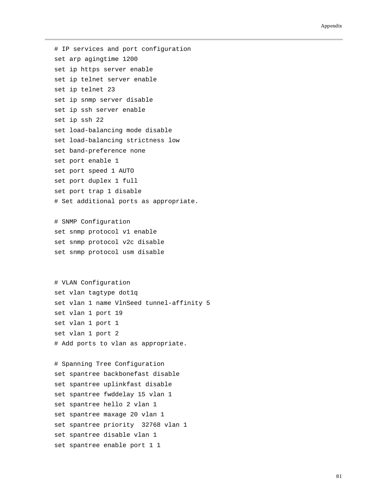## Appendix

# IP services and port configuration set arp agingtime 1200 set ip https server enable set ip telnet server enable set ip telnet 23 set ip snmp server disable set ip ssh server enable set ip ssh 22 set load-balancing mode disable set load-balancing strictness low set band-preference none set port enable 1 set port speed 1 AUTO set port duplex 1 full set port trap 1 disable # Set additional ports as appropriate.

# SNMP Configuration set snmp protocol v1 enable set snmp protocol v2c disable set snmp protocol usm disable

```
# VLAN Configuration
set vlan tagtype dot1q
set vlan 1 name VlnSeed tunnel-affinity 5
set vlan 1 port 19
set vlan 1 port 1
set vlan 1 port 2
# Add ports to vlan as appropriate.
```

```
# Spanning Tree Configuration
set spantree backbonefast disable
set spantree uplinkfast disable
set spantree fwddelay 15 vlan 1
set spantree hello 2 vlan 1
set spantree maxage 20 vlan 1
set spantree priority 32768 vlan 1
set spantree disable vlan 1
set spantree enable port 1 1
```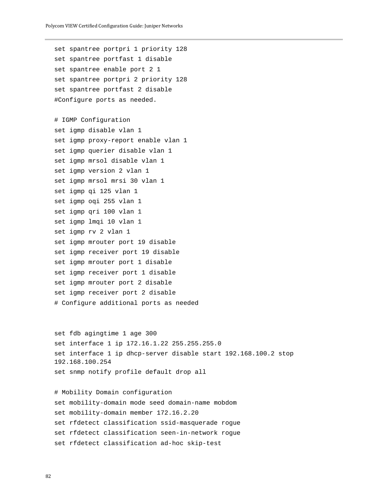```
set spantree portpri 1 priority 128
set spantree portfast 1 disable
set spantree enable port 2 1
set spantree portpri 2 priority 128
set spantree portfast 2 disable
#Configure ports as needed.
# IGMP Configuration
set igmp disable vlan 1
set igmp proxy-report enable vlan 1
set igmp querier disable vlan 1
set igmp mrsol disable vlan 1
set igmp version 2 vlan 1
set igmp mrsol mrsi 30 vlan 1
set igmp qi 125 vlan 1
set igmp oqi 255 vlan 1
set igmp qri 100 vlan 1
set igmp lmqi 10 vlan 1
set igmp rv 2 vlan 1
set igmp mrouter port 19 disable
set igmp receiver port 19 disable
set igmp mrouter port 1 disable
set igmp receiver port 1 disable
set igmp mrouter port 2 disable
set igmp receiver port 2 disable
# Configure additional ports as needed
```

```
set fdb agingtime 1 age 300
set interface 1 ip 172.16.1.22 255.255.255.0
set interface 1 ip dhcp-server disable start 192.168.100.2 stop 
192.168.100.254
set snmp notify profile default drop all
```
# Mobility Domain configuration set mobility-domain mode seed domain-name mobdom set mobility-domain member 172.16.2.20 set rfdetect classification ssid-masquerade rogue set rfdetect classification seen-in-network rogue set rfdetect classification ad-hoc skip-test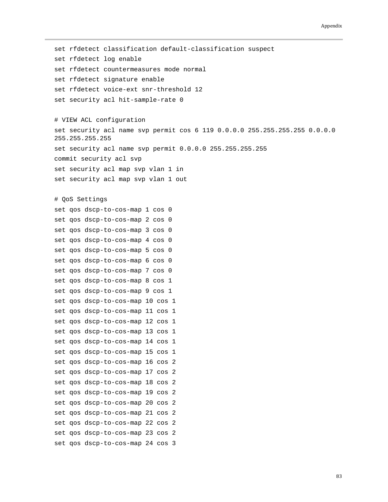set rfdetect classification default-classification suspect set rfdetect log enable set rfdetect countermeasures mode normal set rfdetect signature enable set rfdetect voice-ext snr-threshold 12 set security acl hit-sample-rate 0 # VIEW ACL configuration set security acl name svp permit cos 6 119 0.0.0.0 255.255.255.255 0.0.0.0 255.255.255.255 set security acl name svp permit 0.0.0.0 255.255.255.255 commit security acl svp set security acl map svp vlan 1 in set security acl map svp vlan 1 out # QoS Settings set qos dscp-to-cos-map 1 cos 0 set qos dscp-to-cos-map 2 cos 0 set qos dscp-to-cos-map 3 cos 0 set qos dscp-to-cos-map 4 cos 0 set qos dscp-to-cos-map 5 cos 0 set qos dscp-to-cos-map 6 cos 0 set qos dscp-to-cos-map 7 cos 0 set qos dscp-to-cos-map 8 cos 1 set qos dscp-to-cos-map 9 cos 1 set qos dscp-to-cos-map 10 cos 1 set qos dscp-to-cos-map 11 cos 1 set qos dscp-to-cos-map 12 cos 1 set qos dscp-to-cos-map 13 cos 1 set qos dscp-to-cos-map 14 cos 1 set qos dscp-to-cos-map 15 cos 1 set qos dscp-to-cos-map 16 cos 2 set qos dscp-to-cos-map 17 cos 2 set qos dscp-to-cos-map 18 cos 2 set qos dscp-to-cos-map 19 cos 2 set qos dscp-to-cos-map 20 cos 2 set qos dscp-to-cos-map 21 cos 2 set qos dscp-to-cos-map 22 cos 2 set qos dscp-to-cos-map 23 cos 2 set qos dscp-to-cos-map 24 cos 3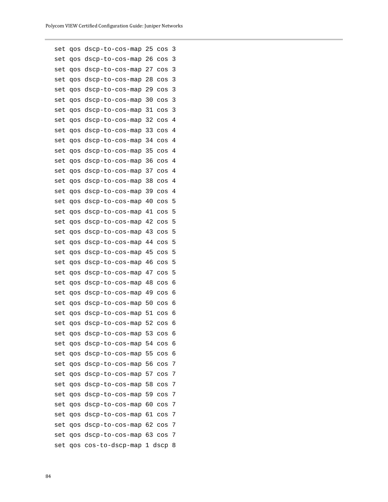| set | qos | dscp-to-cos-map | 25 | $\cos$ | 3 |
|-----|-----|-----------------|----|--------|---|
| set | qos | dscp-to-cos-map | 26 | $\cos$ | 3 |
| set | qos | dscp-to-cos-map | 27 | $\cos$ | 3 |
| set | qos | dscp-to-cos-map | 28 | $\cos$ | 3 |
| set | qos | dscp-to-cos-map | 29 | $\cos$ | 3 |
| set | qos | dscp-to-cos-map | 30 | $\cos$ | 3 |
| set | qos | dscp-to-cos-map | 31 | $\cos$ | 3 |
| set | qos | dscp-to-cos-map | 32 | COS    | 4 |
| set | qos | dscp-to-cos-map | 33 | $\cos$ | 4 |
| set | qos | dscp-to-cos-map | 34 | $\cos$ | 4 |
| set | qos | dscp-to-cos-map | 35 | $\cos$ | 4 |
| set | qos | dscp-to-cos-map | 36 | COS    | 4 |
| set | qos | dscp-to-cos-map | 37 | COS    | 4 |
| set | qos | dscp-to-cos-map | 38 | $\cos$ | 4 |
| set | qos | dscp-to-cos-map | 39 | COS    | 4 |
| set | qos | dscp-to-cos-map | 40 | $\cos$ | 5 |
| set | qos | dscp-to-cos-map | 41 | $\cos$ | 5 |
| set | qos | dscp-to-cos-map | 42 | COS    | 5 |
| set | qos | dscp-to-cos-map | 43 | $\cos$ | 5 |
| set | qos | dscp-to-cos-map | 44 | $\cos$ | 5 |
| set | qos | dscp-to-cos-map | 45 | COS    | 5 |
| set | qos | dscp-to-cos-map | 46 | $\cos$ | 5 |
| set | qos | dscp-to-cos-map | 47 | $\cos$ | 5 |
| set | qos | dscp-to-cos-map | 48 | $\cos$ | 6 |
| set | qos | dscp-to-cos-map | 49 | $\cos$ | 6 |
| set | qos | dscp-to-cos-map | 50 | $\cos$ | 6 |
| set | qos | dscp-to-cos-map | 51 | COS    | 6 |
| set | qos | dscp-to-cos-map | 52 | $\cos$ | 6 |
| set | qos | dscp-to-cos-map | 53 | $\cos$ | 6 |
| set | qos | dscp-to-cos-map | 54 | $\cos$ | 6 |
| set | qos | dscp-to-cos-map | 55 | cos    | 6 |
| set | qos | dscp-to-cos-map | 56 | $\cos$ | 7 |
| set | qos | dscp-to-cos-map | 57 | $\cos$ | 7 |
| set | qos | dscp-to-cos-map | 58 | $\cos$ | 7 |
| set | qos | dscp-to-cos-map | 59 | $\cos$ | 7 |
| set | qos | dscp-to-cos-map | 60 | $\cos$ | 7 |
| set | qos | dscp-to-cos-map | 61 | $\cos$ | 7 |
| set | qos | dscp-to-cos-map | 62 | $\cos$ | 7 |
| set | qos | dscp-to-cos-map | 63 | $\cos$ | 7 |
| set | qos | cos-to-dscp-map |    | 1 dscp | 8 |
|     |     |                 |    |        |   |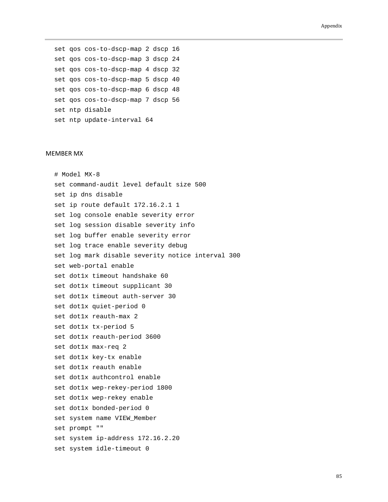set qos cos-to-dscp-map 2 dscp 16 set qos cos-to-dscp-map 3 dscp 24 set qos cos-to-dscp-map 4 dscp 32 set qos cos-to-dscp-map 5 dscp 40 set qos cos-to-dscp-map 6 dscp 48 set qos cos-to-dscp-map 7 dscp 56 set ntp disable set ntp update-interval 64

## MEMBER MX

# Model MX-8 set command-audit level default size 500 set ip dns disable set ip route default 172.16.2.1 1 set log console enable severity error set log session disable severity info set log buffer enable severity error set log trace enable severity debug set log mark disable severity notice interval 300 set web-portal enable set dot1x timeout handshake 60 set dot1x timeout supplicant 30 set dot1x timeout auth-server 30 set dot1x quiet-period 0 set dot1x reauth-max 2 set dot1x tx-period 5 set dot1x reauth-period 3600 set dot1x max-req 2 set dot1x key-tx enable set dot1x reauth enable set dot1x authcontrol enable set dot1x wep-rekey-period 1800 set dot1x wep-rekey enable set dot1x bonded-period 0 set system name VIEW\_Member set prompt "" set system ip-address 172.16.2.20 set system idle-timeout 0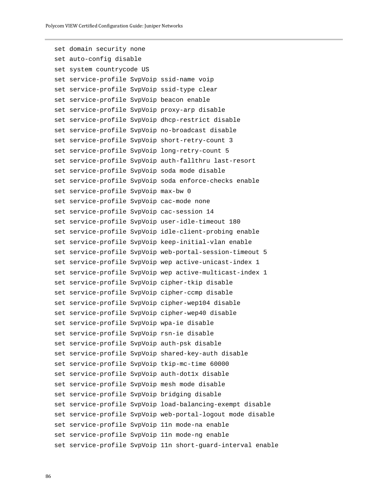set domain security none set auto-config disable set system countrycode US set service-profile SvpVoip ssid-name voip set service-profile SvpVoip ssid-type clear set service-profile SvpVoip beacon enable set service-profile SvpVoip proxy-arp disable set service-profile SvpVoip dhcp-restrict disable set service-profile SvpVoip no-broadcast disable set service-profile SvpVoip short-retry-count 3 set service-profile SvpVoip long-retry-count 5 set service-profile SvpVoip auth-fallthru last-resort set service-profile SvpVoip soda mode disable set service-profile SvpVoip soda enforce-checks enable set service-profile SvpVoip max-bw 0 set service-profile SvpVoip cac-mode none set service-profile SvpVoip cac-session 14 set service-profile SvpVoip user-idle-timeout 180 set service-profile SvpVoip idle-client-probing enable set service-profile SvpVoip keep-initial-vlan enable set service-profile SvpVoip web-portal-session-timeout 5 set service-profile SvpVoip wep active-unicast-index 1 set service-profile SvpVoip wep active-multicast-index 1 set service-profile SvpVoip cipher-tkip disable set service-profile SvpVoip cipher-ccmp disable set service-profile SvpVoip cipher-wep104 disable set service-profile SvpVoip cipher-wep40 disable set service-profile SvpVoip wpa-ie disable set service-profile SvpVoip rsn-ie disable set service-profile SvpVoip auth-psk disable set service-profile SvpVoip shared-key-auth disable set service-profile SvpVoip tkip-mc-time 60000 set service-profile SvpVoip auth-dot1x disable set service-profile SvpVoip mesh mode disable set service-profile SvpVoip bridging disable set service-profile SvpVoip load-balancing-exempt disable set service-profile SvpVoip web-portal-logout mode disable set service-profile SvpVoip 11n mode-na enable set service-profile SvpVoip 11n mode-ng enable set service-profile SvpVoip 11n short-guard-interval enable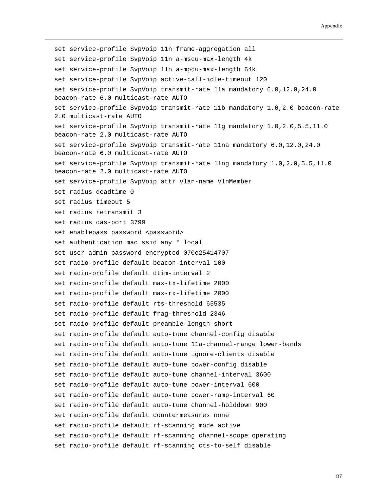set service-profile SvpVoip 11n frame-aggregation all set service-profile SvpVoip 11n a-msdu-max-length 4k set service-profile SvpVoip 11n a-mpdu-max-length 64k set service-profile SvpVoip active-call-idle-timeout 120 set service-profile SvpVoip transmit-rate 11a mandatory 6.0,12.0,24.0 beacon-rate 6.0 multicast-rate AUTO set service-profile SvpVoip transmit-rate 11b mandatory 1.0,2.0 beacon-rate 2.0 multicast-rate AUTO set service-profile SvpVoip transmit-rate 11g mandatory 1.0,2.0,5.5,11.0 beacon-rate 2.0 multicast-rate AUTO set service-profile SvpVoip transmit-rate 11na mandatory 6.0,12.0,24.0 beacon-rate 6.0 multicast-rate AUTO set service-profile SvpVoip transmit-rate 11ng mandatory 1.0,2.0,5.5,11.0 beacon-rate 2.0 multicast-rate AUTO set service-profile SvpVoip attr vlan-name VlnMember set radius deadtime 0 set radius timeout 5 set radius retransmit 3 set radius das-port 3799 set enablepass password <password> set authentication mac ssid any \* local set user admin password encrypted 070e25414707 set radio-profile default beacon-interval 100 set radio-profile default dtim-interval 2 set radio-profile default max-tx-lifetime 2000 set radio-profile default max-rx-lifetime 2000 set radio-profile default rts-threshold 65535 set radio-profile default frag-threshold 2346 set radio-profile default preamble-length short set radio-profile default auto-tune channel-config disable set radio-profile default auto-tune 11a-channel-range lower-bands set radio-profile default auto-tune ignore-clients disable set radio-profile default auto-tune power-config disable set radio-profile default auto-tune channel-interval 3600 set radio-profile default auto-tune power-interval 600 set radio-profile default auto-tune power-ramp-interval 60 set radio-profile default auto-tune channel-holddown 900 set radio-profile default countermeasures none set radio-profile default rf-scanning mode active set radio-profile default rf-scanning channel-scope operating set radio-profile default rf-scanning cts-to-self disable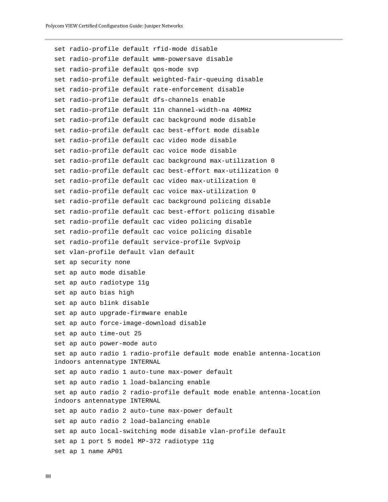```
set radio-profile default rfid-mode disable
set radio-profile default wmm-powersave disable
set radio-profile default qos-mode svp
set radio-profile default weighted-fair-queuing disable
set radio-profile default rate-enforcement disable
set radio-profile default dfs-channels enable
set radio-profile default 11n channel-width-na 40MHz
set radio-profile default cac background mode disable
set radio-profile default cac best-effort mode disable
set radio-profile default cac video mode disable
set radio-profile default cac voice mode disable
set radio-profile default cac background max-utilization 0
set radio-profile default cac best-effort max-utilization 0
set radio-profile default cac video max-utilization 0
set radio-profile default cac voice max-utilization 0
set radio-profile default cac background policing disable
set radio-profile default cac best-effort policing disable
set radio-profile default cac video policing disable
set radio-profile default cac voice policing disable
set radio-profile default service-profile SvpVoip
set vlan-profile default vlan default
set ap security none
set ap auto mode disable
set ap auto radiotype 11g
set ap auto bias high
set ap auto blink disable
set ap auto upgrade-firmware enable
set ap auto force-image-download disable
set ap auto time-out 25
set ap auto power-mode auto
set ap auto radio 1 radio-profile default mode enable antenna-location 
indoors antennatype INTERNAL
set ap auto radio 1 auto-tune max-power default
set ap auto radio 1 load-balancing enable
set ap auto radio 2 radio-profile default mode enable antenna-location 
indoors antennatype INTERNAL
set ap auto radio 2 auto-tune max-power default
set ap auto radio 2 load-balancing enable
set ap auto local-switching mode disable vlan-profile default
set ap 1 port 5 model MP-372 radiotype 11g
set ap 1 name AP01
```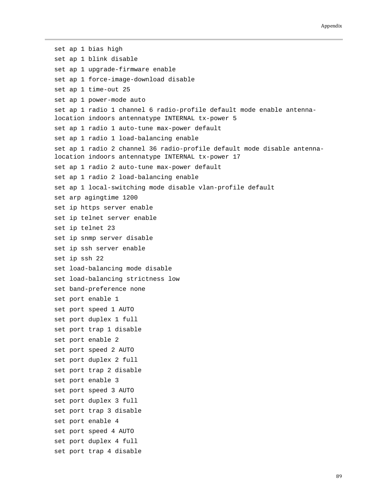set ap 1 bias high set ap 1 blink disable set ap 1 upgrade-firmware enable set ap 1 force-image-download disable set ap 1 time-out 25 set ap 1 power-mode auto set ap 1 radio 1 channel 6 radio-profile default mode enable antennalocation indoors antennatype INTERNAL tx-power 5 set ap 1 radio 1 auto-tune max-power default set ap 1 radio 1 load-balancing enable set ap 1 radio 2 channel 36 radio-profile default mode disable antennalocation indoors antennatype INTERNAL tx-power 17 set ap 1 radio 2 auto-tune max-power default set ap 1 radio 2 load-balancing enable set ap 1 local-switching mode disable vlan-profile default set arp agingtime 1200 set ip https server enable set ip telnet server enable set ip telnet 23 set ip snmp server disable set ip ssh server enable set ip ssh 22 set load-balancing mode disable set load-balancing strictness low set band-preference none set port enable 1 set port speed 1 AUTO set port duplex 1 full set port trap 1 disable set port enable 2 set port speed 2 AUTO set port duplex 2 full set port trap 2 disable set port enable 3 set port speed 3 AUTO set port duplex 3 full set port trap 3 disable set port enable 4 set port speed 4 AUTO set port duplex 4 full set port trap 4 disable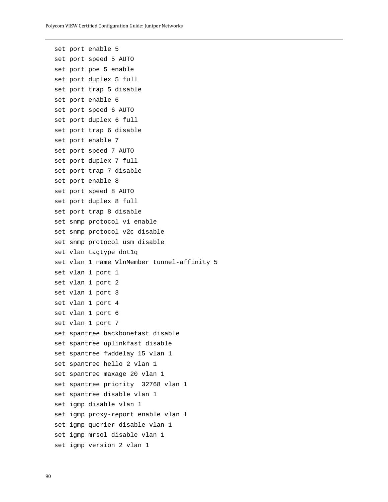```
set port enable 5
set port speed 5 AUTO
set port poe 5 enable
set port duplex 5 full
set port trap 5 disable
set port enable 6
set port speed 6 AUTO
set port duplex 6 full
set port trap 6 disable
set port enable 7
set port speed 7 AUTO
set port duplex 7 full
set port trap 7 disable
set port enable 8
set port speed 8 AUTO
set port duplex 8 full
set port trap 8 disable
set snmp protocol v1 enable
set snmp protocol v2c disable
set snmp protocol usm disable
set vlan tagtype dot1q
set vlan 1 name VlnMember tunnel-affinity 5
set vlan 1 port 1
set vlan 1 port 2
set vlan 1 port 3
set vlan 1 port 4
set vlan 1 port 6
set vlan 1 port 7
set spantree backbonefast disable
set spantree uplinkfast disable
set spantree fwddelay 15 vlan 1
set spantree hello 2 vlan 1
set spantree maxage 20 vlan 1
set spantree priority 32768 vlan 1
set spantree disable vlan 1
set igmp disable vlan 1
set igmp proxy-report enable vlan 1
set igmp querier disable vlan 1
set igmp mrsol disable vlan 1
set igmp version 2 vlan 1
```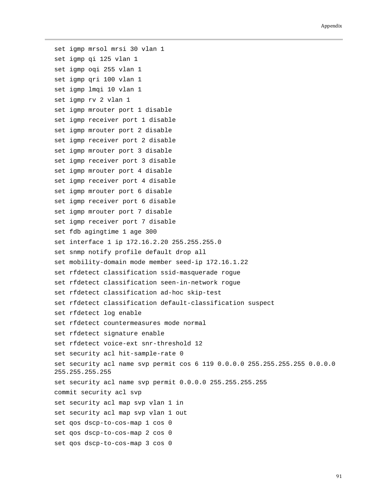set igmp mrsol mrsi 30 vlan 1 set igmp qi 125 vlan 1 set igmp oqi 255 vlan 1 set igmp qri 100 vlan 1 set igmp lmqi 10 vlan 1 set igmp rv 2 vlan 1 set igmp mrouter port 1 disable set igmp receiver port 1 disable set igmp mrouter port 2 disable set igmp receiver port 2 disable set igmp mrouter port 3 disable set igmp receiver port 3 disable set igmp mrouter port 4 disable set igmp receiver port 4 disable set igmp mrouter port 6 disable set igmp receiver port 6 disable set igmp mrouter port 7 disable set igmp receiver port 7 disable set fdb agingtime 1 age 300 set interface 1 ip 172.16.2.20 255.255.255.0 set snmp notify profile default drop all set mobility-domain mode member seed-ip 172.16.1.22 set rfdetect classification ssid-masquerade rogue set rfdetect classification seen-in-network rogue set rfdetect classification ad-hoc skip-test set rfdetect classification default-classification suspect set rfdetect log enable set rfdetect countermeasures mode normal set rfdetect signature enable set rfdetect voice-ext snr-threshold 12 set security acl hit-sample-rate 0 set security acl name svp permit cos 6 119 0.0.0.0 255.255.255.255 0.0.0.0 255.255.255.255 set security acl name svp permit 0.0.0.0 255.255.255.255 commit security acl svp set security acl map svp vlan 1 in set security acl map svp vlan 1 out set qos dscp-to-cos-map 1 cos 0 set qos dscp-to-cos-map 2 cos 0 set qos dscp-to-cos-map 3 cos 0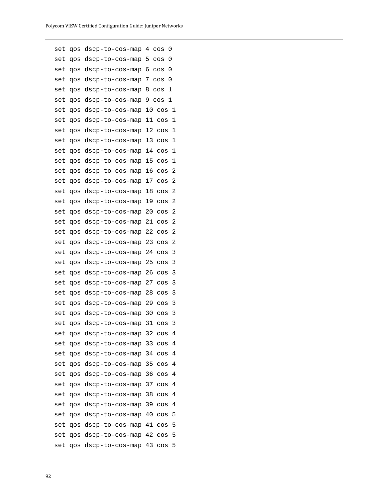| set | qos | dscp-to-cos-map | 4  | $\cos$ | 0 |
|-----|-----|-----------------|----|--------|---|
| set | qos | dscp-to-cos-map | 5  | $\cos$ | 0 |
| set | qos | dscp-to-cos-map | 6  | $\cos$ | 0 |
| set | qos | dscp-to-cos-map | 7  | $\cos$ | 0 |
| set | qos | dscp-to-cos-map | 8  | $\cos$ | 1 |
| set | qos | dscp-to-cos-map | 9  | $\cos$ | 1 |
| set | qos | dscp-to-cos-map | 10 | $\cos$ | 1 |
| set | qos | dscp-to-cos-map | 11 | $\cos$ | 1 |
| set | qos | dscp-to-cos-map | 12 | $\cos$ | 1 |
| set | qos | dscp-to-cos-map | 13 | $\cos$ | 1 |
| set | qos | dscp-to-cos-map | 14 | $\cos$ | 1 |
| set | qos | dscp-to-cos-map | 15 | COS    | 1 |
| set | qos | dscp-to-cos-map | 16 | $\cos$ | 2 |
| set | qos | dscp-to-cos-map | 17 | $\cos$ | 2 |
| set | qos | dscp-to-cos-map | 18 | cos    | 2 |
| set | qos | dscp-to-cos-map | 19 | $\cos$ | 2 |
| set | qos | dscp-to-cos-map | 20 | $\cos$ | 2 |
| set | qos | dscp-to-cos-map | 21 | cos    | 2 |
| set | qos | dscp-to-cos-map | 22 | $\cos$ | 2 |
| set | qos | dscp-to-cos-map | 23 | $\cos$ | 2 |
| set | qos | dscp-to-cos-map | 24 | cos    | 3 |
| set | qos | dscp-to-cos-map | 25 | $\cos$ | 3 |
| set | qos | dscp-to-cos-map | 26 | $\cos$ | 3 |
| set | qos | dscp-to-cos-map | 27 | cos    | 3 |
| set | qos | dscp-to-cos-map | 28 | $\cos$ | 3 |
| set | qos | dscp-to-cos-map | 29 | $\cos$ | 3 |
| set | qos | dscp-to-cos-map | 30 | $\cos$ | 3 |
| set | qos | dscp-to-cos-map | 31 | cos    | 3 |
| set | qos | dscp-to-cos-map | 32 | $\cos$ | 4 |
| set | qos | dscp-to-cos-map | 33 | $\cos$ | 4 |
| set | qos | dscp-to-cos-map | 34 | $\cos$ | 4 |
| set | qos | dscp-to-cos-map | 35 | $\cos$ | 4 |
| set | qos | dscp-to-cos-map | 36 | $\cos$ | 4 |
| set | qos | dscp-to-cos-map | 37 | $\cos$ | 4 |
| set | qos | dscp-to-cos-map | 38 | $\cos$ | 4 |
| set | qos | dscp-to-cos-map | 39 | $\cos$ | 4 |
| set | qos | dscp-to-cos-map | 40 | $\cos$ | 5 |
| set | qos | dscp-to-cos-map | 41 | $\cos$ | 5 |
| set | qos | dscp-to-cos-map | 42 | $\cos$ | 5 |
| set | qos | dscp-to-cos-map | 43 | $\cos$ | 5 |